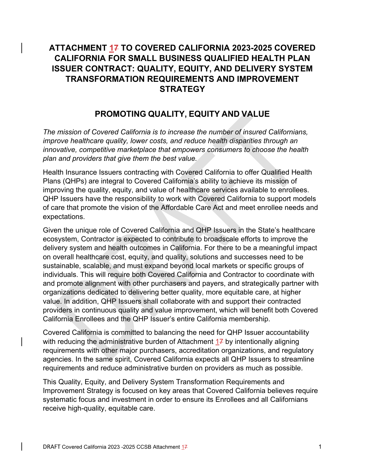# **ATTACHMENT 17 TO COVERED CALIFORNIA 2023-2025 COVERED CALIFORNIA FOR SMALL BUSINESS QUALIFIED HEALTH PLAN ISSUER CONTRACT: QUALITY, EQUITY, AND DELIVERY SYSTEM TRANSFORMATION REQUIREMENTS AND IMPROVEMENT STRATEGY**

# **PROMOTING QUALITY, EQUITY AND VALUE**

*The mission of Covered California is to increase the number of insured Californians, improve healthcare quality, lower costs, and reduce health disparities through an innovative, competitive marketplace that empowers consumers to choose the health plan and providers that give them the best value.* 

Health Insurance Issuers contracting with Covered California to offer Qualified Health Plans (QHPs) are integral to Covered California's ability to achieve its mission of improving the quality, equity, and value of healthcare services available to enrollees. QHP Issuers have the responsibility to work with Covered California to support models of care that promote the vision of the Affordable Care Act and meet enrollee needs and expectations.

Given the unique role of Covered California and QHP Issuers in the State's healthcare ecosystem, Contractor is expected to contribute to broadscale efforts to improve the delivery system and health outcomes in California. For there to be a meaningful impact on overall healthcare cost, equity, and quality, solutions and successes need to be sustainable, scalable, and must expand beyond local markets or specific groups of individuals. This will require both Covered California and Contractor to coordinate with and promote alignment with other purchasers and payers, and strategically partner with organizations dedicated to delivering better quality, more equitable care, at higher value. In addition, QHP Issuers shall collaborate with and support their contracted providers in continuous quality and value improvement, which will benefit both Covered California Enrollees and the QHP Issuer's entire California membership.

Covered California is committed to balancing the need for QHP Issuer accountability with reducing the administrative burden of Attachment 17 by intentionally aligning requirements with other major purchasers, accreditation organizations, and regulatory agencies. In the same spirit, Covered California expects all QHP Issuers to streamline requirements and reduce administrative burden on providers as much as possible.

This Quality, Equity, and Delivery System Transformation Requirements and Improvement Strategy is focused on key areas that Covered California believes require systematic focus and investment in order to ensure its Enrollees and all Californians receive high-quality, equitable care.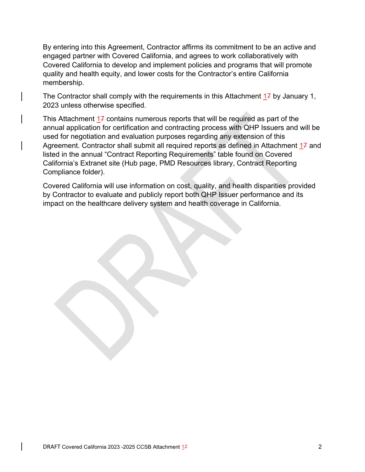By entering into this Agreement, Contractor affirms its commitment to be an active and engaged partner with Covered California, and agrees to work collaboratively with Covered California to develop and implement policies and programs that will promote quality and health equity, and lower costs for the Contractor's entire California membership.

The Contractor shall comply with the requirements in this Attachment  $17$  by January 1, 2023 unless otherwise specified.

This Attachment  $17$  contains numerous reports that will be required as part of the annual application for certification and contracting process with QHP Issuers and will be used for negotiation and evaluation purposes regarding any extension of this Agreement. Contractor shall submit all required reports as defined in Attachment 17 and listed in the annual "Contract Reporting Requirements" table found on Covered California's Extranet site (Hub page, PMD Resources library, Contract Reporting Compliance folder).

Covered California will use information on cost, quality, and health disparities provided by Contractor to evaluate and publicly report both QHP Issuer performance and its impact on the healthcare delivery system and health coverage in California.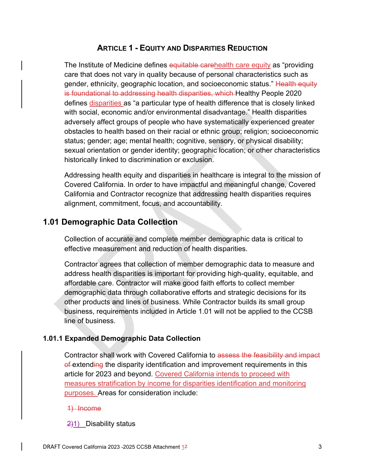# **ARTICLE 1 - EQUITY AND DISPARITIES REDUCTION**

The Institute of Medicine defines equitable carehealth care equity as "providing care that does not vary in quality because of personal characteristics such as gender, ethnicity, geographic location, and socioeconomic status." Health equity is foundational to addressing health disparities, which Healthy People 2020 defines disparities as "a particular type of health difference that is closely linked with social, economic and/or environmental disadvantage." Health disparities adversely affect groups of people who have systematically experienced greater obstacles to health based on their racial or ethnic group; religion; socioeconomic status; gender; age; mental health; cognitive, sensory, or physical disability; sexual orientation or gender identity; geographic location; or other characteristics historically linked to discrimination or exclusion.

Addressing health equity and disparities in healthcare is integral to the mission of Covered California. In order to have impactful and meaningful change, Covered California and Contractor recognize that addressing health disparities requires alignment, commitment, focus, and accountability.

# **1.01 Demographic Data Collection**

Collection of accurate and complete member demographic data is critical to effective measurement and reduction of health disparities.

Contractor agrees that collection of member demographic data to measure and address health disparities is important for providing high-quality, equitable, and affordable care. Contractor will make good faith efforts to collect member demographic data through collaborative efforts and strategic decisions for its other products and lines of business. While Contractor builds its small group business, requirements included in Article 1.01 will not be applied to the CCSB line of business.

## **1.01.1 Expanded Demographic Data Collection**

Contractor shall work with Covered California to assess the feasibility and impact of extending the disparity identification and improvement requirements in this article for 2023 and beyond. Covered California intends to proceed with measures stratification by income for disparities identification and monitoring purposes. Areas for consideration include:

### 1) Income

### $\frac{2}{1}$  Disability status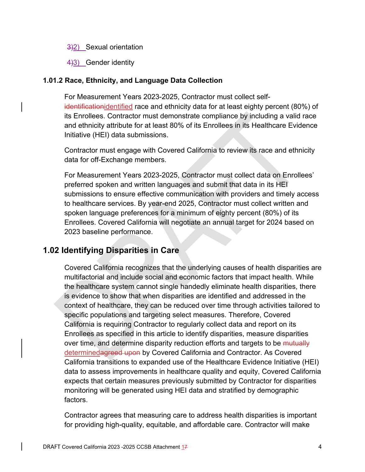### 3)2) Sexual orientation

4)3) Gender identity

## **1.01.2 Race, Ethnicity, and Language Data Collection**

For Measurement Years 2023-2025, Contractor must collect selfidentificationidentified race and ethnicity data for at least eighty percent (80%) of its Enrollees. Contractor must demonstrate compliance by including a valid race and ethnicity attribute for at least 80% of its Enrollees in its Healthcare Evidence Initiative (HEI) data submissions.

Contractor must engage with Covered California to review its race and ethnicity data for off-Exchange members.

For Measurement Years 2023-2025, Contractor must collect data on Enrollees' preferred spoken and written languages and submit that data in its HEI submissions to ensure effective communication with providers and timely access to healthcare services. By year-end 2025, Contractor must collect written and spoken language preferences for a minimum of eighty percent (80%) of its Enrollees. Covered California will negotiate an annual target for 2024 based on 2023 baseline performance.

# **1.02 Identifying Disparities in Care**

Covered California recognizes that the underlying causes of health disparities are multifactorial and include social and economic factors that impact health. While the healthcare system cannot single handedly eliminate health disparities, there is evidence to show that when disparities are identified and addressed in the context of healthcare, they can be reduced over time through activities tailored to specific populations and targeting select measures. Therefore, Covered California is requiring Contractor to regularly collect data and report on its Enrollees as specified in this article to identify disparities, measure disparities over time, and determine disparity reduction efforts and targets to be mutually determinedagreed upon by Covered California and Contractor. As Covered California transitions to expanded use of the Healthcare Evidence Initiative (HEI) data to assess improvements in healthcare quality and equity, Covered California expects that certain measures previously submitted by Contractor for disparities monitoring will be generated using HEI data and stratified by demographic factors.

Contractor agrees that measuring care to address health disparities is important for providing high-quality, equitable, and affordable care. Contractor will make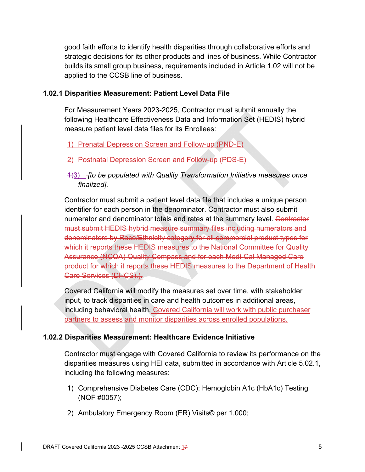good faith efforts to identify health disparities through collaborative efforts and strategic decisions for its other products and lines of business. While Contractor builds its small group business, requirements included in Article 1.02 will not be applied to the CCSB line of business.

### **1.02.1 Disparities Measurement: Patient Level Data File**

For Measurement Years 2023-2025, Contractor must submit annually the following Healthcare Effectiveness Data and Information Set (HEDIS) hybrid measure patient level data files for its Enrollees:

## 1) Prenatal Depression Screen and Follow-up (PND-E)

### 2) Postnatal Depression Screen and Follow-up (PDS-E)

1)3) *[to be populated with Quality Transformation Initiative measures once finalized].* 

Contractor must submit a patient level data file that includes a unique person identifier for each person in the denominator. Contractor must also submit numerator and denominator totals and rates at the summary level. Contractor must submit HEDIS hybrid measure summary files including numerators and denominators by Race/Ethnicity category for all commercial product types for which it reports these HEDIS measures to the National Committee for Quality Assurance (NCQA) Quality Compass and for each Medi-Cal Managed Care product for which it reports these HEDIS measures to the Department of Health Care Services (DHCS).).

Covered California will modify the measures set over time, with stakeholder input, to track disparities in care and health outcomes in additional areas, including behavioral health. Covered California will work with public purchaser partners to assess and monitor disparities across enrolled populations.

### **1.02.2 Disparities Measurement: Healthcare Evidence Initiative**

Contractor must engage with Covered California to review its performance on the disparities measures using HEI data, submitted in accordance with Article 5.02.1, including the following measures:

- 1) Comprehensive Diabetes Care (CDC): Hemoglobin A1c (HbA1c) Testing (NQF #0057);
- 2) Ambulatory Emergency Room (ER) Visits© per 1,000;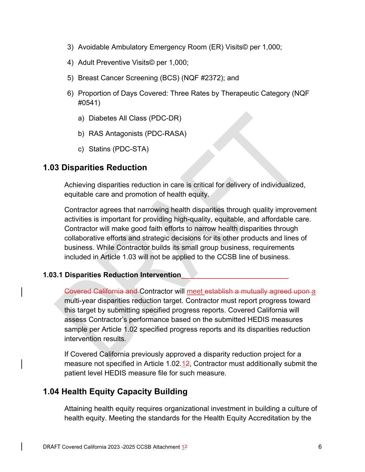- 3) Avoidable Ambulatory Emergency Room (ER) Visits© per 1,000;
- 4) Adult Preventive Visits© per 1,000;
- 5) Breast Cancer Screening (BCS) (NQF #2372); and
- 6) Proportion of Days Covered: Three Rates by Therapeutic Category (NQF #0541)
	- a) Diabetes All Class (PDC-DR)
	- b) RAS Antagonists (PDC-RASA)
	- c) Statins (PDC-STA)

### **1.03 Disparities Reduction**

Achieving disparities reduction in care is critical for delivery of individualized, equitable care and promotion of health equity.

Contractor agrees that narrowing health disparities through quality improvement activities is important for providing high-quality, equitable, and affordable care. Contractor will make good faith efforts to narrow health disparities through collaborative efforts and strategic decisions for its other products and lines of business. While Contractor builds its small group business, requirements included in Article 1.03 will not be applied to the CCSB line of business.

#### **1.03.1 Disparities Reduction Intervention**

Covered California and Contractor will meet establish a mutually agreed upon a multi-year disparities reduction target. Contractor must report progress toward this target by submitting specified progress reports. Covered California will assess Contractor's performance based on the submitted HEDIS measures sample per Article 1.02 specified progress reports and its disparities reduction intervention results.

If Covered California previously approved a disparity reduction project for a measure not specified in Article 1.02.12, Contractor must additionally submit the patient level HEDIS measure file for such measure.

# **1.04 Health Equity Capacity Building**

Attaining health equity requires organizational investment in building a culture of health equity. Meeting the standards for the Health Equity Accreditation by the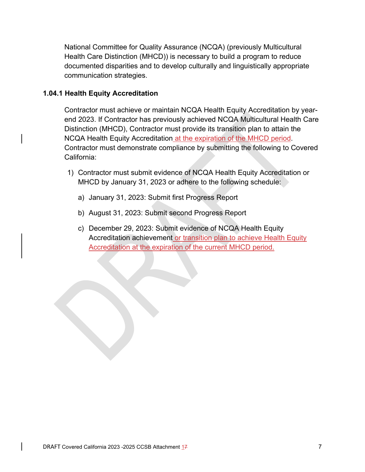National Committee for Quality Assurance (NCQA) (previously Multicultural Health Care Distinction (MHCD)) is necessary to build a program to reduce documented disparities and to develop culturally and linguistically appropriate communication strategies.

### **1.04.1 Health Equity Accreditation**

Contractor must achieve or maintain NCQA Health Equity Accreditation by yearend 2023. If Contractor has previously achieved NCQA Multicultural Health Care Distinction (MHCD), Contractor must provide its transition plan to attain the NCQA Health Equity Accreditation at the expiration of the MHCD period. Contractor must demonstrate compliance by submitting the following to Covered California:

- 1) Contractor must submit evidence of NCQA Health Equity Accreditation or MHCD by January 31, 2023 or adhere to the following schedule:
	- a) January 31, 2023: Submit first Progress Report
	- b) August 31, 2023: Submit second Progress Report
	- c) December 29, 2023: Submit evidence of NCQA Health Equity Accreditation achievement or transition plan to achieve Health Equity Accreditation at the expiration of the current MHCD period.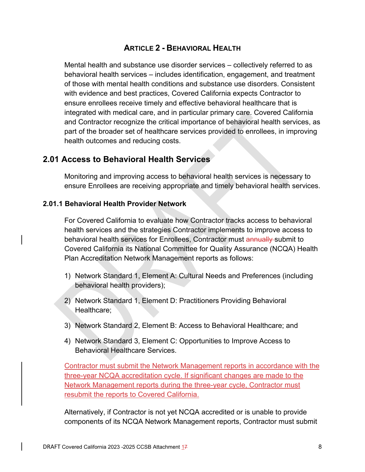# **ARTICLE 2 - BEHAVIORAL HEALTH**

Mental health and substance use disorder services – collectively referred to as behavioral health services – includes identification, engagement, and treatment of those with mental health conditions and substance use disorders. Consistent with evidence and best practices, Covered California expects Contractor to ensure enrollees receive timely and effective behavioral healthcare that is integrated with medical care, and in particular primary care. Covered California and Contractor recognize the critical importance of behavioral health services, as part of the broader set of healthcare services provided to enrollees, in improving health outcomes and reducing costs.

# **2.01 Access to Behavioral Health Services**

Monitoring and improving access to behavioral health services is necessary to ensure Enrollees are receiving appropriate and timely behavioral health services.

### **2.01.1 Behavioral Health Provider Network**

For Covered California to evaluate how Contractor tracks access to behavioral health services and the strategies Contractor implements to improve access to behavioral health services for Enrollees, Contractor must annually submit to Covered California its National Committee for Quality Assurance (NCQA) Health Plan Accreditation Network Management reports as follows:

- 1) Network Standard 1, Element A: Cultural Needs and Preferences (including behavioral health providers);
- 2) Network Standard 1, Element D: Practitioners Providing Behavioral Healthcare;
- 3) Network Standard 2, Element B: Access to Behavioral Healthcare; and
- 4) Network Standard 3, Element C: Opportunities to Improve Access to Behavioral Healthcare Services.

Contractor must submit the Network Management reports in accordance with the three-year NCQA accreditation cycle. If significant changes are made to the Network Management reports during the three-year cycle, Contractor must resubmit the reports to Covered California.

Alternatively, if Contractor is not yet NCQA accredited or is unable to provide components of its NCQA Network Management reports, Contractor must submit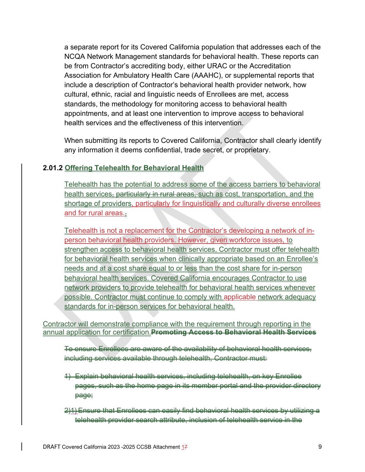a separate report for its Covered California population that addresses each of the NCQA Network Management standards for behavioral health. These reports can be from Contractor's accrediting body, either URAC or the Accreditation Association for Ambulatory Health Care (AAAHC), or supplemental reports that include a description of Contractor's behavioral health provider network, how cultural, ethnic, racial and linguistic needs of Enrollees are met, access standards, the methodology for monitoring access to behavioral health appointments, and at least one intervention to improve access to behavioral health services and the effectiveness of this intervention.

When submitting its reports to Covered California, Contractor shall clearly identify any information it deems confidential, trade secret, or proprietary.

### **2.01.2 Offering Telehealth for Behavioral Health**

Telehealth has the potential to address some of the access barriers to behavioral health services, particularly in rural areas, such as cost, transportation, and the shortage of providers, particularly for linguistically and culturally diverse enrollees and for rural areas.

Telehealth is not a replacement for the Contractor's developing a network of inperson behavioral health providers. However, given workforce issues, to strengthen access to behavioral health services, Contractor must offer telehealth for behavioral health services when clinically appropriate based on an Enrollee's needs and at a cost share equal to or less than the cost share for in-person behavioral health services. Covered California encourages Contractor to use network providers to provide telehealth for behavioral health services whenever possible. Contractor must continue to comply with applicable network adequacy standards for in-person services for behavioral health.

Contractor will demonstrate compliance with the requirement through reporting in the annual application for certification.**Promoting Access to Behavioral Health Services**

To ensure Enrollees are aware of the availability of behavioral health services, including services available through telehealth, Contractor must:

1) Explain behavioral health services, including telehealth, on key Enrollee pages, such as the home page in its member portal and the provider directory page;

2)1) Ensure that Enrollees can easily find behavioral health services by utilizing a telehealth provider search attribute, inclusion of telehealth service in the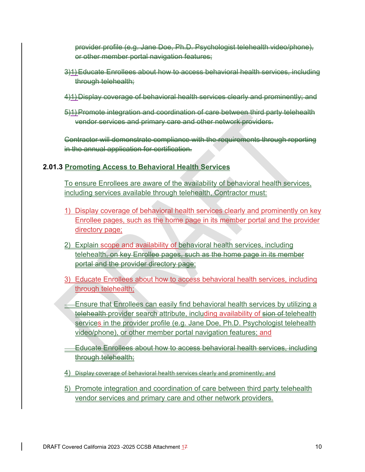provider profile (e.g. Jane Doe, Ph.D. Psychologist telehealth video/phone), or other member portal navigation features;

- 3)1) Educate Enrollees about how to access behavioral health services, including through telehealth;
- 4)1) Display coverage of behavioral health services clearly and prominently; and
- 5)1) Promote integration and coordination of care between third party telehealth vendor services and primary care and other network providers.

Contractor will demonstrate compliance with the requirements through reporting in the annual application for certification.

## **2.01.3 Promoting Access to Behavioral Health Services**

To ensure Enrollees are aware of the availability of behavioral health services, including services available through telehealth, Contractor must:

- 1) Display coverage of behavioral health services clearly and prominently on key Enrollee pages, such as the home page in its member portal and the provider directory page;
- 2) Explain scope and availability of behavioral health services, including telehealth, on key Enrollee pages, such as the home page in its member portal and the provider directory page;
- 3) Educate Enrollees about how to access behavioral health services, including through telehealth;
- **Ensure that Enrollees can easily find behavioral health services by utilizing a** telehealth provider search attribute, including availability of sion of telehealth services in the provider profile (e.g. Jane Doe, Ph.D. Psychologist telehealth video/phone), or other member portal navigation features; and

 Educate Enrollees about how to access behavioral health services, including through telehealth;

4) Display coverage of behavioral health services clearly and prominently; and

5) Promote integration and coordination of care between third party telehealth vendor services and primary care and other network providers.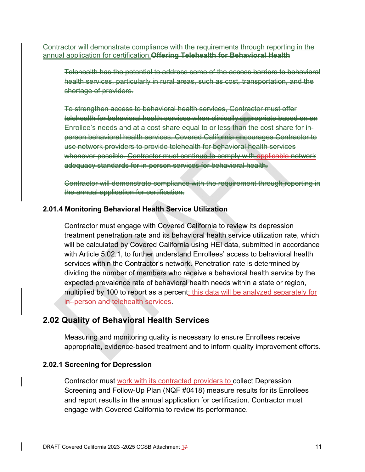Contractor will demonstrate compliance with the requirements through reporting in the annual application for certification.**Offering Telehealth for Behavioral Health** 

Telehealth has the potential to address some of the access barriers to behavioral health services, particularly in rural areas, such as cost, transportation, and the shortage of providers.

To strengthen access to behavioral health services, Contractor must offer telehealth for behavioral health services when clinically appropriate based on an Enrollee's needs and at a cost share equal to or less than the cost share for inperson behavioral health services. Covered California encourages Contractor to use network providers to provide telehealth for behavioral health services whenever possible. Contractor must continue to comply with applicable network adequacy standards for in-person services for behavioral health.

Contractor will demonstrate compliance with the requirement through reporting in the annual application for certification.

### **2.01.4 Monitoring Behavioral Health Service Utilization**

Contractor must engage with Covered California to review its depression treatment penetration rate and its behavioral health service utilization rate, which will be calculated by Covered California using HEI data, submitted in accordance with Article 5.02.1, to further understand Enrollees' access to behavioral health services within the Contractor's network. Penetration rate is determined by dividing the number of members who receive a behavioral health service by the expected prevalence rate of behavioral health needs within a state or region, multiplied by 100 to report as a percent; this data will be analyzed separately for in- person and telehealth services.

## **2.02 Quality of Behavioral Health Services**

Measuring and monitoring quality is necessary to ensure Enrollees receive appropriate, evidence-based treatment and to inform quality improvement efforts.

### **2.02.1 Screening for Depression**

Contractor must work with its contracted providers to collect Depression Screening and Follow-Up Plan (NQF #0418) measure results for its Enrollees and report results in the annual application for certification. Contractor must engage with Covered California to review its performance.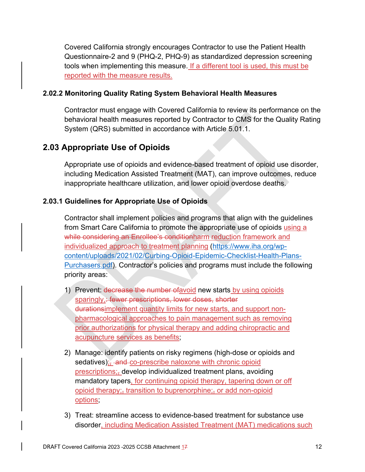Covered California strongly encourages Contractor to use the Patient Health Questionnaire-2 and 9 (PHQ-2, PHQ-9) as standardized depression screening tools when implementing this measure. If a different tool is used, this must be reported with the measure results.

## **2.02.2 Monitoring Quality Rating System Behavioral Health Measures**

Contractor must engage with Covered California to review its performance on the behavioral health measures reported by Contractor to CMS for the Quality Rating System (QRS) submitted in accordance with Article 5.01.1.

# **2.03 Appropriate Use of Opioids**

Appropriate use of opioids and evidence-based treatment of opioid use disorder, including Medication Assisted Treatment (MAT), can improve outcomes, reduce inappropriate healthcare utilization, and lower opioid overdose deaths.

## **2.03.1 Guidelines for Appropriate Use of Opioids**

Contractor shall implement policies and programs that align with the guidelines from Smart Care California to promote the appropriate use of opioids using a while considering an Enrollee's conditionharm reduction framework and individualized approach to treatment planning (https://www.iha.org/wpcontent/uploads/2021/02/Curbing-Opioid-Epidemic-Checklist-Health-Plans-Purchasers.pdf). Contractor's policies and programs must include the following priority areas:

- 1) Prevent: decrease the number of avoid new starts by using opioids sparingly,: fewer prescriptions, lower doses, shorter durationsimplement quantity limits for new starts, and support nonpharmacological approaches to pain management such as removing prior authorizations for physical therapy and adding chiropractic and acupuncture services as benefits;
- 2) Manage: identify patients on risky regimens (high-dose or opioids and sedatives); and co-prescribe naloxone with chronic opioid prescriptions;, develop individualized treatment plans, avoiding mandatory tapers, for continuing opioid therapy, tapering down or off opioid therapy; $\frac{1}{2}$  transition to buprenorphine; $\frac{1}{2}$  or add non-opioid options;
- 3) Treat: streamline access to evidence-based treatment for substance use disorder, including Medication Assisted Treatment (MAT) medications such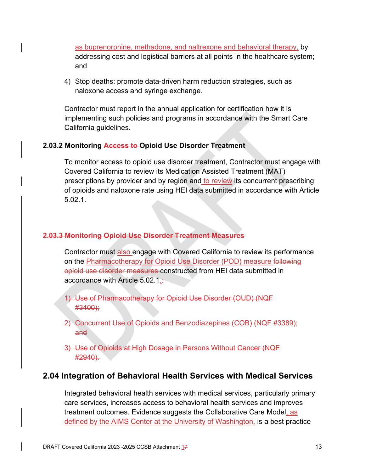as buprenorphine, methadone, and naltrexone and behavioral therapy, by addressing cost and logistical barriers at all points in the healthcare system; and

4) Stop deaths: promote data-driven harm reduction strategies, such as naloxone access and syringe exchange.

Contractor must report in the annual application for certification how it is implementing such policies and programs in accordance with the Smart Care California guidelines.

### **2.03.2 Monitoring Access to Opioid Use Disorder Treatment**

To monitor access to opioid use disorder treatment, Contractor must engage with Covered California to review its Medication Assisted Treatment (MAT) prescriptions by provider and by region and to review its concurrent prescribing of opioids and naloxone rate using HEI data submitted in accordance with Article 5.02.1.

### **2.03.3 Monitoring Opioid Use Disorder Treatment Measures**

Contractor must also engage with Covered California to review its performance on the Pharmacotherapy for Opioid Use Disorder (POD) measure following opioid use disorder measures constructed from HEI data submitted in accordance with Article 5.02.1.

- 1) Use of Pharmacotherapy for Opioid Use Disorder (OUD) (NQF #3400);
- 2) Concurrent Use of Opioids and Benzodiazepines (COB) (NQF #3389); and
- 3) Use of Opioids at High Dosage in Persons Without Cancer (NQF #2940).

# **2.04 Integration of Behavioral Health Services with Medical Services**

Integrated behavioral health services with medical services, particularly primary care services, increases access to behavioral health services and improves treatment outcomes. Evidence suggests the Collaborative Care Model, as defined by the AIMS Center at the University of Washington, is a best practice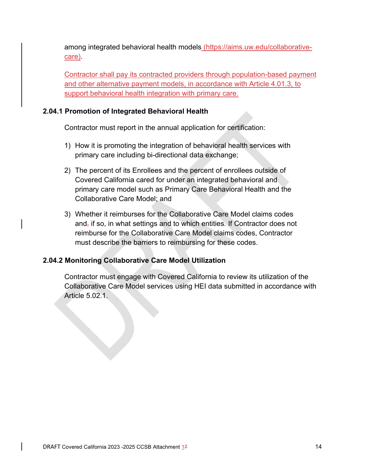among integrated behavioral health models (https://aims.uw.edu/collaborativecare).

Contractor shall pay its contracted providers through population-based payment and other alternative payment models, in accordance with Article 4.01.3, to support behavioral health integration with primary care.

### **2.04.1 Promotion of Integrated Behavioral Health**

Contractor must report in the annual application for certification:

- 1) How it is promoting the integration of behavioral health services with primary care including bi-directional data exchange;
- 2) The percent of its Enrollees and the percent of enrollees outside of Covered California cared for under an integrated behavioral and primary care model such as Primary Care Behavioral Health and the Collaborative Care Model; and
- 3) Whether it reimburses for the Collaborative Care Model claims codes and, if so, in what settings and to which entities. If Contractor does not reimburse for the Collaborative Care Model claims codes, Contractor must describe the barriers to reimbursing for these codes.

## **2.04.2 Monitoring Collaborative Care Model Utilization**

Contractor must engage with Covered California to review its utilization of the Collaborative Care Model services using HEI data submitted in accordance with Article 5.02.1.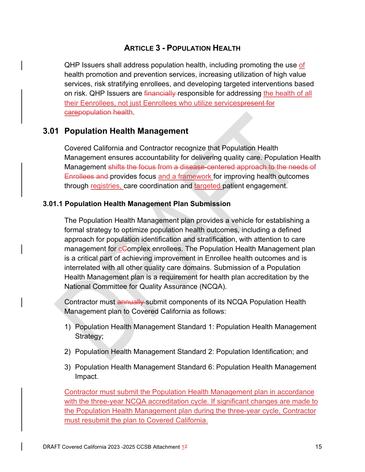# **ARTICLE 3 - POPULATION HEALTH**

QHP Issuers shall address population health, including promoting the use of health promotion and prevention services, increasing utilization of high value services, risk stratifying enrollees, and developing targeted interventions based on risk. QHP Issuers are financially responsible for addressing the health of all their Eenrollees, not just Eenrollees who utilize servicespresent for carepopulation health.

## **3.01 Population Health Management**

Covered California and Contractor recognize that Population Health Management ensures accountability for delivering quality care. Population Health Management shifts the focus from a disease-centered approach to the needs of Enrollees and provides focus and a framework for improving health outcomes through registries, care coordination and targeted patient engagement.

### **3.01.1 Population Health Management Plan Submission**

The Population Health Management plan provides a vehicle for establishing a formal strategy to optimize population health outcomes, including a defined approach for population identification and stratification, with attention to care management for *c*Complex enrollees. The Population Health Management plan is a critical part of achieving improvement in Enrollee health outcomes and is interrelated with all other quality care domains. Submission of a Population Health Management plan is a requirement for health plan accreditation by the National Committee for Quality Assurance (NCQA).

Contractor must annually submit components of its NCQA Population Health Management plan to Covered California as follows:

- 1) Population Health Management Standard 1: Population Health Management Strategy;
- 2) Population Health Management Standard 2: Population Identification; and
- 3) Population Health Management Standard 6: Population Health Management Impact.

Contractor must submit the Population Health Management plan in accordance with the three-year NCQA accreditation cycle. If significant changes are made to the Population Health Management plan during the three-year cycle, Contractor must resubmit the plan to Covered California.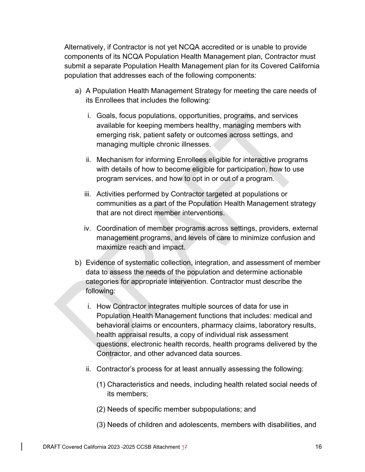Alternatively, if Contractor is not yet NCQA accredited or is unable to provide components of its NCQA Population Health Management plan, Contractor must submit a separate Population Health Management plan for its Covered California population that addresses each of the following components:

- a) A Population Health Management Strategy for meeting the care needs of its Enrollees that includes the following:
	- i. Goals, focus populations, opportunities, programs, and services available for keeping members healthy, managing members with emerging risk, patient safety or outcomes across settings, and managing multiple chronic illnesses.
	- ii. Mechanism for informing Enrollees eligible for interactive programs with details of how to become eligible for participation, how to use program services, and how to opt in or out of a program.
	- iii. Activities performed by Contractor targeted at populations or communities as a part of the Population Health Management strategy that are not direct member interventions.
	- iv. Coordination of member programs across settings, providers, external management programs, and levels of care to minimize confusion and maximize reach and impact.
- b) Evidence of systematic collection, integration, and assessment of member data to assess the needs of the population and determine actionable categories for appropriate intervention. Contractor must describe the following:
	- i. How Contractor integrates multiple sources of data for use in Population Health Management functions that includes: medical and behavioral claims or encounters, pharmacy claims, laboratory results, health appraisal results, a copy of individual risk assessment questions, electronic health records, health programs delivered by the Contractor, and other advanced data sources.
	- ii. Contractor's process for at least annually assessing the following:
		- (1) Characteristics and needs, including health related social needs of its members;
		- (2) Needs of specific member subpopulations; and
		- (3) Needs of children and adolescents, members with disabilities, and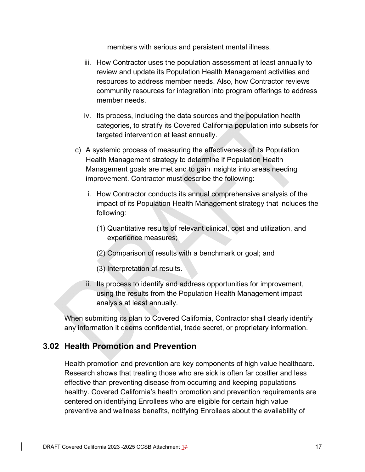members with serious and persistent mental illness.

- iii. How Contractor uses the population assessment at least annually to review and update its Population Health Management activities and resources to address member needs. Also, how Contractor reviews community resources for integration into program offerings to address member needs.
- iv. Its process, including the data sources and the population health categories, to stratify its Covered California population into subsets for targeted intervention at least annually.
- c) A systemic process of measuring the effectiveness of its Population Health Management strategy to determine if Population Health Management goals are met and to gain insights into areas needing improvement. Contractor must describe the following:
	- i. How Contractor conducts its annual comprehensive analysis of the impact of its Population Health Management strategy that includes the following:
		- (1) Quantitative results of relevant clinical, cost and utilization, and experience measures;
		- (2) Comparison of results with a benchmark or goal; and
		- (3) Interpretation of results.
	- ii. Its process to identify and address opportunities for improvement, using the results from the Population Health Management impact analysis at least annually.

When submitting its plan to Covered California, Contractor shall clearly identify any information it deems confidential, trade secret, or proprietary information.

# **3.02 Health Promotion and Prevention**

Health promotion and prevention are key components of high value healthcare. Research shows that treating those who are sick is often far costlier and less effective than preventing disease from occurring and keeping populations healthy. Covered California's health promotion and prevention requirements are centered on identifying Enrollees who are eligible for certain high value preventive and wellness benefits, notifying Enrollees about the availability of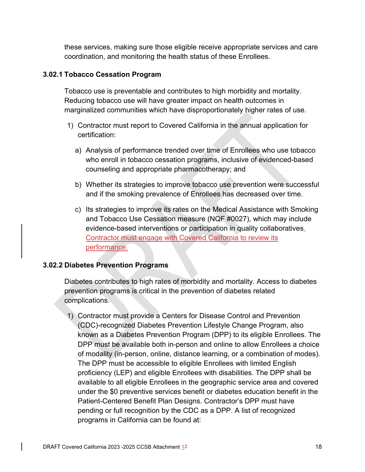these services, making sure those eligible receive appropriate services and care coordination, and monitoring the health status of these Enrollees.

### **3.02.1 Tobacco Cessation Program**

Tobacco use is preventable and contributes to high morbidity and mortality. Reducing tobacco use will have greater impact on health outcomes in marginalized communities which have disproportionately higher rates of use.

- 1) Contractor must report to Covered California in the annual application for certification:
	- a) Analysis of performance trended over time of Enrollees who use tobacco who enroll in tobacco cessation programs, inclusive of evidenced-based counseling and appropriate pharmacotherapy; and
	- b) Whether its strategies to improve tobacco use prevention were successful and if the smoking prevalence of Enrollees has decreased over time.
	- c) Its strategies to improve its rates on the Medical Assistance with Smoking and Tobacco Use Cessation measure (NQF #0027), which may include evidence-based interventions or participation in quality collaboratives. Contractor must engage with Covered California to review its performance.

### **3.02.2 Diabetes Prevention Programs**

Diabetes contributes to high rates of morbidity and mortality. Access to diabetes prevention programs is critical in the prevention of diabetes related complications.

1) Contractor must provide a Centers for Disease Control and Prevention (CDC)-recognized Diabetes Prevention Lifestyle Change Program, also known as a Diabetes Prevention Program (DPP) to its eligible Enrollees. The DPP must be available both in-person and online to allow Enrollees a choice of modality (in-person, online, distance learning, or a combination of modes). The DPP must be accessible to eligible Enrollees with limited English proficiency (LEP) and eligible Enrollees with disabilities. The DPP shall be available to all eligible Enrollees in the geographic service area and covered under the \$0 preventive services benefit or diabetes education benefit in the Patient-Centered Benefit Plan Designs. Contractor's DPP must have pending or full recognition by the CDC as a DPP. A list of recognized programs in California can be found at: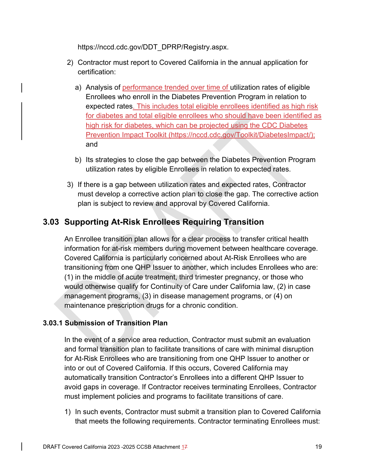https://nccd.cdc.gov/DDT\_DPRP/Registry.aspx.

- 2) Contractor must report to Covered California in the annual application for certification:
	- a) Analysis of performance trended over time of utilization rates of eligible Enrollees who enroll in the Diabetes Prevention Program in relation to expected rates. This includes total eligible enrollees identified as high risk for diabetes and total eligible enrollees who should have been identified as high risk for diabetes, which can be projected using the CDC Diabetes Prevention Impact Toolkit (https://nccd.cdc.gov/Toolkit/DiabetesImpact/); and
	- b) Its strategies to close the gap between the Diabetes Prevention Program utilization rates by eligible Enrollees in relation to expected rates.
- 3) If there is a gap between utilization rates and expected rates, Contractor must develop a corrective action plan to close the gap. The corrective action plan is subject to review and approval by Covered California.

# **3.03 Supporting At-Risk Enrollees Requiring Transition**

An Enrollee transition plan allows for a clear process to transfer critical health information for at-risk members during movement between healthcare coverage. Covered California is particularly concerned about At-Risk Enrollees who are transitioning from one QHP Issuer to another, which includes Enrollees who are: (1) in the middle of acute treatment, third trimester pregnancy, or those who would otherwise qualify for Continuity of Care under California law, (2) in case management programs, (3) in disease management programs, or (4) on maintenance prescription drugs for a chronic condition.

## **3.03.1 Submission of Transition Plan**

In the event of a service area reduction, Contractor must submit an evaluation and formal transition plan to facilitate transitions of care with minimal disruption for At-Risk Enrollees who are transitioning from one QHP Issuer to another or into or out of Covered California. If this occurs, Covered California may automatically transition Contractor's Enrollees into a different QHP Issuer to avoid gaps in coverage. If Contractor receives terminating Enrollees, Contractor must implement policies and programs to facilitate transitions of care.

1) In such events, Contractor must submit a transition plan to Covered California that meets the following requirements. Contractor terminating Enrollees must: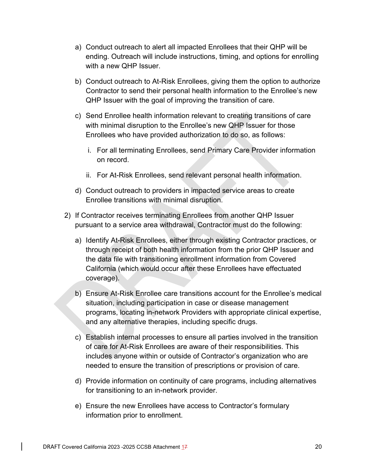- a) Conduct outreach to alert all impacted Enrollees that their QHP will be ending. Outreach will include instructions, timing, and options for enrolling with a new QHP Issuer.
- b) Conduct outreach to At-Risk Enrollees, giving them the option to authorize Contractor to send their personal health information to the Enrollee's new QHP Issuer with the goal of improving the transition of care.
- c) Send Enrollee health information relevant to creating transitions of care with minimal disruption to the Enrollee's new QHP Issuer for those Enrollees who have provided authorization to do so, as follows:
	- i. For all terminating Enrollees, send Primary Care Provider information on record.
	- ii. For At-Risk Enrollees, send relevant personal health information.
- d) Conduct outreach to providers in impacted service areas to create Enrollee transitions with minimal disruption.
- 2) If Contractor receives terminating Enrollees from another QHP Issuer pursuant to a service area withdrawal, Contractor must do the following:
	- a) Identify At-Risk Enrollees, either through existing Contractor practices, or through receipt of both health information from the prior QHP Issuer and the data file with transitioning enrollment information from Covered California (which would occur after these Enrollees have effectuated coverage).
	- b) Ensure At-Risk Enrollee care transitions account for the Enrollee's medical situation, including participation in case or disease management programs, locating in-network Providers with appropriate clinical expertise, and any alternative therapies, including specific drugs.
	- c) Establish internal processes to ensure all parties involved in the transition of care for At-Risk Enrollees are aware of their responsibilities. This includes anyone within or outside of Contractor's organization who are needed to ensure the transition of prescriptions or provision of care.
	- d) Provide information on continuity of care programs, including alternatives for transitioning to an in-network provider.
	- e) Ensure the new Enrollees have access to Contractor's formulary information prior to enrollment.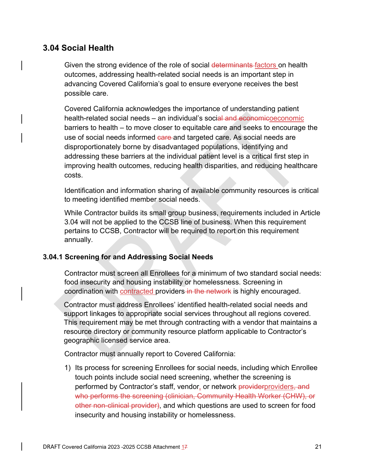# **3.04 Social Health**

Given the strong evidence of the role of social determinants factors on health outcomes, addressing health-related social needs is an important step in advancing Covered California's goal to ensure everyone receives the best possible care.

Covered California acknowledges the importance of understanding patient health-related social needs – an individual's social and economicoeconomic barriers to health – to move closer to equitable care and seeks to encourage the use of social needs informed care and targeted care. As social needs are disproportionately borne by disadvantaged populations, identifying and addressing these barriers at the individual patient level is a critical first step in improving health outcomes, reducing health disparities, and reducing healthcare costs.

Identification and information sharing of available community resources is critical to meeting identified member social needs.

While Contractor builds its small group business, requirements included in Article 3.04 will not be applied to the CCSB line of business. When this requirement pertains to CCSB, Contractor will be required to report on this requirement annually.

### **3.04.1 Screening for and Addressing Social Needs**

Contractor must screen all Enrollees for a minimum of two standard social needs: food insecurity and housing instability or homelessness. Screening in coordination with contracted providers in the network is highly encouraged.

Contractor must address Enrollees' identified health-related social needs and support linkages to appropriate social services throughout all regions covered. This requirement may be met through contracting with a vendor that maintains a resource directory or community resource platform applicable to Contractor's geographic licensed service area.

Contractor must annually report to Covered California:

1) Its process for screening Enrollees for social needs, including which Enrollee touch points include social need screening, whether the screening is performed by Contractor's staff, vendor, or network providerproviders, and who performs the screening (clinician, Community Health Worker (CHW), or other non-clinical provider), and which questions are used to screen for food insecurity and housing instability or homelessness.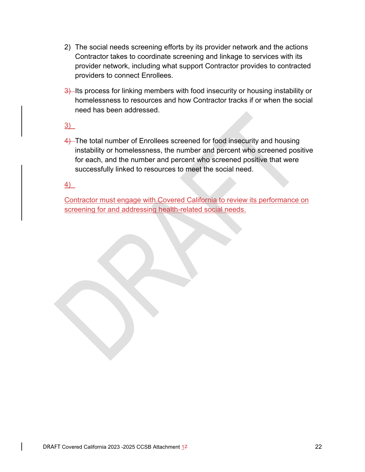- 2) The social needs screening efforts by its provider network and the actions Contractor takes to coordinate screening and linkage to services with its provider network, including what support Contractor provides to contracted providers to connect Enrollees.
- 3) Its process for linking members with food insecurity or housing instability or homelessness to resources and how Contractor tracks if or when the social need has been addressed.
- 3)
- 4) The total number of Enrollees screened for food insecurity and housing instability or homelessness, the number and percent who screened positive for each, and the number and percent who screened positive that were successfully linked to resources to meet the social need.

4)

Contractor must engage with Covered California to review its performance on screening for and addressing health-related social needs.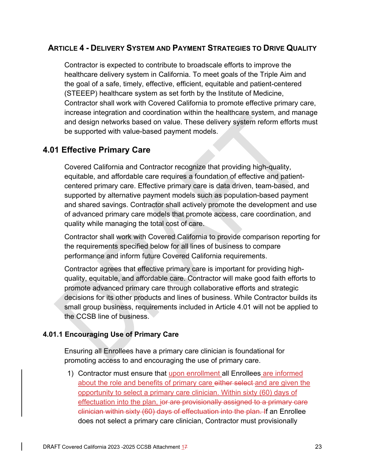## **ARTICLE 4 - DELIVERY SYSTEM AND PAYMENT STRATEGIES TO DRIVE QUALITY**

Contractor is expected to contribute to broadscale efforts to improve the healthcare delivery system in California. To meet goals of the Triple Aim and the goal of a safe, timely, effective, efficient, equitable and patient-centered (STEEEP) healthcare system as set forth by the Institute of Medicine, Contractor shall work with Covered California to promote effective primary care, increase integration and coordination within the healthcare system, and manage and design networks based on value. These delivery system reform efforts must be supported with value-based payment models.

# **4.01 Effective Primary Care**

Covered California and Contractor recognize that providing high-quality, equitable, and affordable care requires a foundation of effective and patientcentered primary care. Effective primary care is data driven, team-based, and supported by alternative payment models such as population-based payment and shared savings. Contractor shall actively promote the development and use of advanced primary care models that promote access, care coordination, and quality while managing the total cost of care.

Contractor shall work with Covered California to provide comparison reporting for the requirements specified below for all lines of business to compare performance and inform future Covered California requirements.

Contractor agrees that effective primary care is important for providing highquality, equitable, and affordable care. Contractor will make good faith efforts to promote advanced primary care through collaborative efforts and strategic decisions for its other products and lines of business. While Contractor builds its small group business, requirements included in Article 4.01 will not be applied to the CCSB line of business.

### **4.01.1 Encouraging Use of Primary Care**

Ensuring all Enrollees have a primary care clinician is foundational for promoting access to and encouraging the use of primary care.

1) Contractor must ensure that upon enrollment all Enrollees are informed about the role and benefits of primary care either select and are given the opportunity to select a primary care clinician. Within sixty (60) days of effectuation into the plan, ior are provisionally assigned to a primary care clinician within sixty (60) days of effectuation into the plan. If an Enrollee does not select a primary care clinician, Contractor must provisionally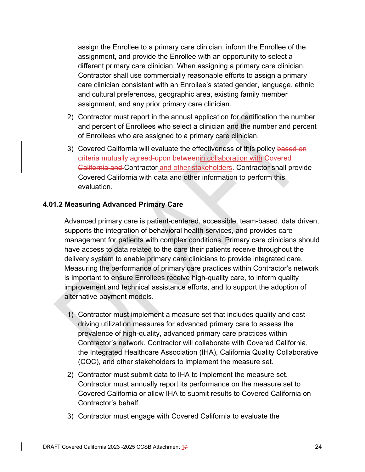assign the Enrollee to a primary care clinician, inform the Enrollee of the assignment, and provide the Enrollee with an opportunity to select a different primary care clinician. When assigning a primary care clinician, Contractor shall use commercially reasonable efforts to assign a primary care clinician consistent with an Enrollee's stated gender, language, ethnic and cultural preferences, geographic area, existing family member assignment, and any prior primary care clinician.

- 2) Contractor must report in the annual application for certification the number and percent of Enrollees who select a clinician and the number and percent of Enrollees who are assigned to a primary care clinician.
- 3) Covered California will evaluate the effectiveness of this policy based on criteria mutually agreed-upon betweenin collaboration with Covered California and Contractor and other stakeholders. Contractor shall provide Covered California with data and other information to perform this evaluation.

### **4.01.2 Measuring Advanced Primary Care**

Advanced primary care is patient-centered, accessible, team-based, data driven, supports the integration of behavioral health services, and provides care management for patients with complex conditions. Primary care clinicians should have access to data related to the care their patients receive throughout the delivery system to enable primary care clinicians to provide integrated care. Measuring the performance of primary care practices within Contractor's network is important to ensure Enrollees receive high-quality care, to inform quality improvement and technical assistance efforts, and to support the adoption of alternative payment models.

- 1) Contractor must implement a measure set that includes quality and costdriving utilization measures for advanced primary care to assess the prevalence of high-quality, advanced primary care practices within Contractor's network. Contractor will collaborate with Covered California, the Integrated Healthcare Association (IHA), California Quality Collaborative (CQC), and other stakeholders to implement the measure set.
- 2) Contractor must submit data to IHA to implement the measure set. Contractor must annually report its performance on the measure set to Covered California or allow IHA to submit results to Covered California on Contractor's behalf.
- 3) Contractor must engage with Covered California to evaluate the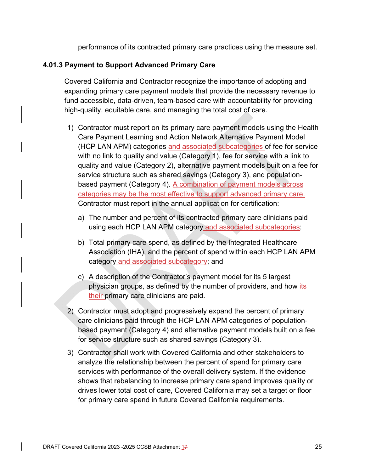performance of its contracted primary care practices using the measure set.

### **4.01.3 Payment to Support Advanced Primary Care**

Covered California and Contractor recognize the importance of adopting and expanding primary care payment models that provide the necessary revenue to fund accessible, data-driven, team-based care with accountability for providing high-quality, equitable care, and managing the total cost of care.

- 1) Contractor must report on its primary care payment models using the Health Care Payment Learning and Action Network Alternative Payment Model (HCP LAN APM) categories and associated subcategories of fee for service with no link to quality and value (Category 1), fee for service with a link to quality and value (Category 2), alternative payment models built on a fee for service structure such as shared savings (Category 3), and populationbased payment (Category 4). A combination of payment models across categories may be the most effective to support advanced primary care. Contractor must report in the annual application for certification:
	- a) The number and percent of its contracted primary care clinicians paid using each HCP LAN APM category and associated subcategories;
	- b) Total primary care spend, as defined by the Integrated Healthcare Association (IHA), and the percent of spend within each HCP LAN APM category and associated subcategory; and
	- c) A description of the Contractor's payment model for its 5 largest physician groups, as defined by the number of providers, and how its their primary care clinicians are paid.
- 2) Contractor must adopt and progressively expand the percent of primary care clinicians paid through the HCP LAN APM categories of populationbased payment (Category 4) and alternative payment models built on a fee for service structure such as shared savings (Category 3).
- 3) Contractor shall work with Covered California and other stakeholders to analyze the relationship between the percent of spend for primary care services with performance of the overall delivery system. If the evidence shows that rebalancing to increase primary care spend improves quality or drives lower total cost of care, Covered California may set a target or floor for primary care spend in future Covered California requirements.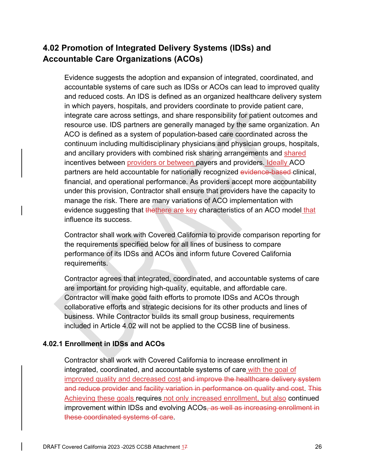# **4.02 Promotion of Integrated Delivery Systems (IDSs) and Accountable Care Organizations (ACOs)**

Evidence suggests the adoption and expansion of integrated, coordinated, and accountable systems of care such as IDSs or ACOs can lead to improved quality and reduced costs. An IDS is defined as an organized healthcare delivery system in which payers, hospitals, and providers coordinate to provide patient care, integrate care across settings, and share responsibility for patient outcomes and resource use. IDS partners are generally managed by the same organization. An ACO is defined as a system of population-based care coordinated across the continuum including multidisciplinary physicians and physician groups, hospitals, and ancillary providers with combined risk sharing arrangements and shared incentives between providers or between payers and providers. Ideally ACO partners are held accountable for nationally recognized evidence-based-clinical, financial, and operational performance. As providers accept more accountability under this provision, Contractor shall ensure that providers have the capacity to manage the risk. There are many variations of ACO implementation with evidence suggesting that thethere are key characteristics of an ACO model that influence its success.

Contractor shall work with Covered California to provide comparison reporting for the requirements specified below for all lines of business to compare performance of its IDSs and ACOs and inform future Covered California requirements.

Contractor agrees that integrated, coordinated, and accountable systems of care are important for providing high-quality, equitable, and affordable care. Contractor will make good faith efforts to promote IDSs and ACOs through collaborative efforts and strategic decisions for its other products and lines of business. While Contractor builds its small group business, requirements included in Article 4.02 will not be applied to the CCSB line of business.

## **4.02.1 Enrollment in IDSs and ACOs**

Contractor shall work with Covered California to increase enrollment in integrated, coordinated, and accountable systems of care with the goal of improved quality and decreased cost and improve the healthcare delivery system and reduce provider and facility variation in performance on quality and cost. This Achieving these goals requires not only increased enrollment, but also continued improvement within IDSs and evolving ACOs, as well as increasing enrollment in these coordinated systems of care.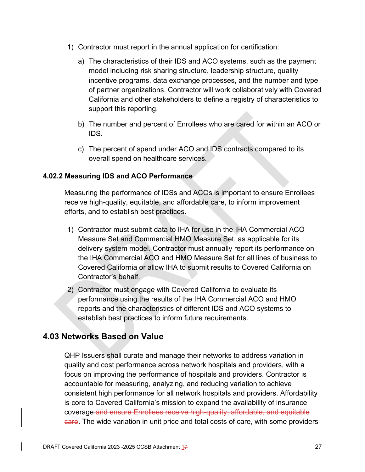- 1) Contractor must report in the annual application for certification:
	- a) The characteristics of their IDS and ACO systems, such as the payment model including risk sharing structure, leadership structure, quality incentive programs, data exchange processes, and the number and type of partner organizations. Contractor will work collaboratively with Covered California and other stakeholders to define a registry of characteristics to support this reporting.
	- b) The number and percent of Enrollees who are cared for within an ACO or IDS.
	- c) The percent of spend under ACO and IDS contracts compared to its overall spend on healthcare services.

## **4.02.2 Measuring IDS and ACO Performance**

Measuring the performance of IDSs and ACOs is important to ensure Enrollees receive high-quality, equitable, and affordable care, to inform improvement efforts, and to establish best practices.

- 1) Contractor must submit data to IHA for use in the IHA Commercial ACO Measure Set and Commercial HMO Measure Set, as applicable for its delivery system model. Contractor must annually report its performance on the IHA Commercial ACO and HMO Measure Set for all lines of business to Covered California or allow IHA to submit results to Covered California on Contractor's behalf.
- 2) Contractor must engage with Covered California to evaluate its performance using the results of the IHA Commercial ACO and HMO reports and the characteristics of different IDS and ACO systems to establish best practices to inform future requirements.

# **4.03 Networks Based on Value**

QHP Issuers shall curate and manage their networks to address variation in quality and cost performance across network hospitals and providers, with a focus on improving the performance of hospitals and providers. Contractor is accountable for measuring, analyzing, and reducing variation to achieve consistent high performance for all network hospitals and providers. Affordability is core to Covered California's mission to expand the availability of insurance coverage and ensure Enrollees receive high-quality, affordable, and equitable **Gare.** The wide variation in unit price and total costs of care, with some providers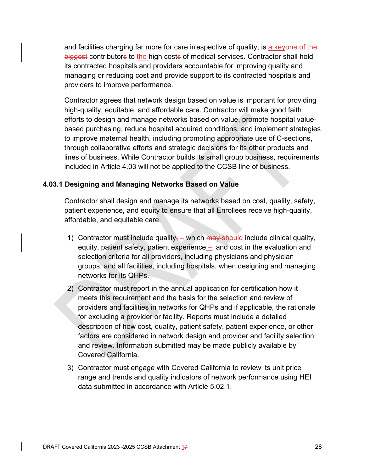and facilities charging far more for care irrespective of quality, is a keyone of the biggest contributors to the high costs of medical services. Contractor shall hold its contracted hospitals and providers accountable for improving quality and managing or reducing cost and provide support to its contracted hospitals and providers to improve performance.

Contractor agrees that network design based on value is important for providing high-quality, equitable, and affordable care. Contractor will make good faith efforts to design and manage networks based on value, promote hospital valuebased purchasing, reduce hospital acquired conditions, and implement strategies to improve maternal health, including promoting appropriate use of C-sections, through collaborative efforts and strategic decisions for its other products and lines of business. While Contractor builds its small group business, requirements included in Article 4.03 will not be applied to the CCSB line of business.

### **4.03.1 Designing and Managing Networks Based on Value**

Contractor shall design and manage its networks based on cost, quality, safety, patient experience, and equity to ensure that all Enrollees receive high-quality, affordable, and equitable care.

- 1) Contractor must include quality, which  $\frac{m}{m}$  should include clinical quality, equity, patient safety, patient experience  $\overline{-}$ , and cost in the evaluation and selection criteria for all providers, including physicians and physician groups, and all facilities, including hospitals, when designing and managing networks for its QHPs.
- 2) Contractor must report in the annual application for certification how it meets this requirement and the basis for the selection and review of providers and facilities in networks for QHPs and if applicable, the rationale for excluding a provider or facility. Reports must include a detailed description of how cost, quality, patient safety, patient experience, or other factors are considered in network design and provider and facility selection and review. Information submitted may be made publicly available by Covered California.
- 3) Contractor must engage with Covered California to review its unit price range and trends and quality indicators of network performance using HEI data submitted in accordance with Article 5.02.1.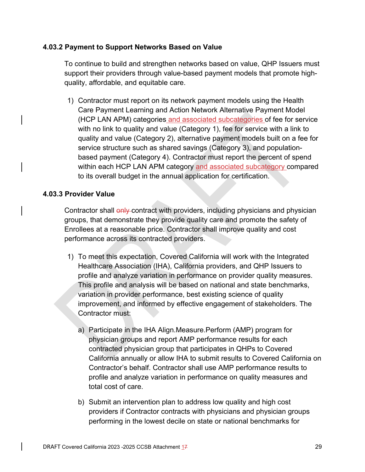### **4.03.2 Payment to Support Networks Based on Value**

To continue to build and strengthen networks based on value, QHP Issuers must support their providers through value-based payment models that promote highquality, affordable, and equitable care.

1) Contractor must report on its network payment models using the Health Care Payment Learning and Action Network Alternative Payment Model (HCP LAN APM) categories and associated subcategories of fee for service with no link to quality and value (Category 1), fee for service with a link to quality and value (Category 2), alternative payment models built on a fee for service structure such as shared savings (Category 3), and populationbased payment (Category 4). Contractor must report the percent of spend within each HCP LAN APM category and associated subcategory compared to its overall budget in the annual application for certification.

### **4.03.3 Provider Value**

Contractor shall only contract with providers, including physicians and physician groups, that demonstrate they provide quality care and promote the safety of Enrollees at a reasonable price. Contractor shall improve quality and cost performance across its contracted providers.

- 1) To meet this expectation, Covered California will work with the Integrated Healthcare Association (IHA), California providers, and QHP Issuers to profile and analyze variation in performance on provider quality measures. This profile and analysis will be based on national and state benchmarks, variation in provider performance, best existing science of quality improvement, and informed by effective engagement of stakeholders. The Contractor must:
	- a) Participate in the IHA Align.Measure.Perform (AMP) program for physician groups and report AMP performance results for each contracted physician group that participates in QHPs to Covered California annually or allow IHA to submit results to Covered California on Contractor's behalf. Contractor shall use AMP performance results to profile and analyze variation in performance on quality measures and total cost of care.
	- b) Submit an intervention plan to address low quality and high cost providers if Contractor contracts with physicians and physician groups performing in the lowest decile on state or national benchmarks for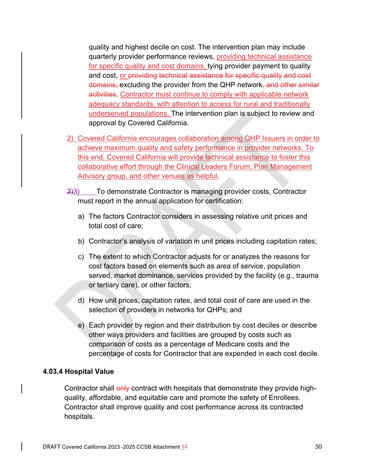quality and highest decile on cost. The intervention plan may include quarterly provider performance reviews, providing technical assistance for specific quality and cost domains, tying provider payment to quality and cost, or providing technical assistance for specific quality and cost domains, excluding the provider from the QHP network, and other similar activities. Contractor must continue to comply with applicable network adequacy standards, with attention to access for rural and traditionally underserved populations. The intervention plan is subject to review and approval by Covered California.

- 2) Covered California encourages collaboration among QHP Issuers in order to achieve maximum quality and safety performance in provider networks. To this end, Covered California will provide technical assistance to foster this collaborative effort through the Clinical Leaders Forum, Plan Management Advisory group, and other venues as helpful.
- 2)3) To demonstrate Contractor is managing provider costs, Contractor must report in the annual application for certification:
	- a) The factors Contractor considers in assessing relative unit prices and total cost of care;
	- b) Contractor's analysis of variation in unit prices including capitation rates;
	- c) The extent to which Contractor adjusts for or analyzes the reasons for cost factors based on elements such as area of service, population served, market dominance, services provided by the facility (e.g., trauma or tertiary care), or other factors;
	- d) How unit prices, capitation rates, and total cost of care are used in the selection of providers in networks for QHPs; and
	- e) Each provider by region and their distribution by cost deciles or describe other ways providers and facilities are grouped by costs such as comparison of costs as a percentage of Medicare costs and the percentage of costs for Contractor that are expended in each cost decile.

### **4.03.4 Hospital Value**

Contractor shall only contract with hospitals that demonstrate they provide highquality, affordable, and equitable care and promote the safety of Enrollees. Contractor shall improve quality and cost performance across its contracted hospitals.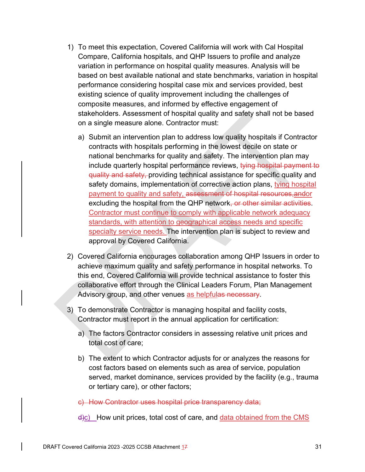- 1) To meet this expectation, Covered California will work with Cal Hospital Compare, California hospitals, and QHP Issuers to profile and analyze variation in performance on hospital quality measures. Analysis will be based on best available national and state benchmarks, variation in hospital performance considering hospital case mix and services provided, best existing science of quality improvement including the challenges of composite measures, and informed by effective engagement of stakeholders. Assessment of hospital quality and safety shall not be based on a single measure alone. Contractor must:
	- a) Submit an intervention plan to address low quality hospitals if Contractor contracts with hospitals performing in the lowest decile on state or national benchmarks for quality and safety. The intervention plan may include quarterly hospital performance reviews, tying hospital payment to quality and safety, providing technical assistance for specific quality and safety domains, implementation of corrective action plans, tying hospital payment to quality and safety, assessment of hospital resources,andor excluding the hospital from the QHP network, or other similar activities. Contractor must continue to comply with applicable network adequacy standards, with attention to geographical access needs and specific specialty service needs. The intervention plan is subject to review and approval by Covered California.
- 2) Covered California encourages collaboration among QHP Issuers in order to achieve maximum quality and safety performance in hospital networks. To this end, Covered California will provide technical assistance to foster this collaborative effort through the Clinical Leaders Forum, Plan Management Advisory group, and other venues as helpfulas necessary.
- 3) To demonstrate Contractor is managing hospital and facility costs, Contractor must report in the annual application for certification:
	- a) The factors Contractor considers in assessing relative unit prices and total cost of care;
	- b) The extent to which Contractor adjusts for or analyzes the reasons for cost factors based on elements such as area of service, population served, market dominance, services provided by the facility (e.g., trauma or tertiary care), or other factors;

c) How Contractor uses hospital price transparency data;

 $\frac{d}{c}$  How unit prices, total cost of care, and data obtained from the CMS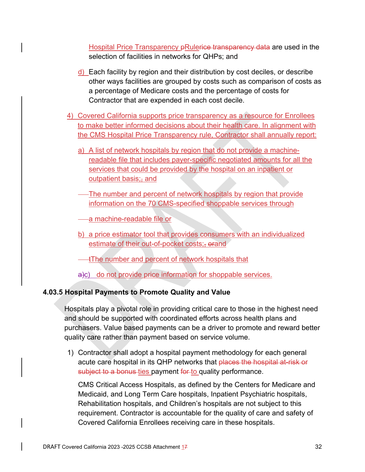Hospital Price Transparency pRulerice transparency data are used in the selection of facilities in networks for QHPs; and

- d) Each facility by region and their distribution by cost deciles, or describe other ways facilities are grouped by costs such as comparison of costs as a percentage of Medicare costs and the percentage of costs for Contractor that are expended in each cost decile.
- 4) Covered California supports price transparency as a resource for Enrollees to make better informed decisions about their health care. In alignment with the CMS Hospital Price Transparency rule, Contractor shall annually report:
	- a) A list of network hospitals by region that do not provide a machinereadable file that includes payer-specific negotiated amounts for all the services that could be provided by the hospital on an inpatient or outpatient basis; and
	- The number and percent of network hospitals by region that provide information on the 70 CMS-specified shoppable services through

a machine-readable file or

b) a price estimator tool that provides consumers with an individualized estimate of their out-of-pocket costs; orand

tThe number and percent of network hospitals that

a)c) do not provide price information for shoppable services.

## **4.03.5 Hospital Payments to Promote Quality and Value**

Hospitals play a pivotal role in providing critical care to those in the highest need and should be supported with coordinated efforts across health plans and purchasers. Value based payments can be a driver to promote and reward better quality care rather than payment based on service volume.

1) Contractor shall adopt a hospital payment methodology for each general acute care hospital in its QHP networks that places the hospital at-risk or subject to a bonus ties payment for to quality performance.

CMS Critical Access Hospitals, as defined by the Centers for Medicare and Medicaid, and Long Term Care hospitals, Inpatient Psychiatric hospitals, Rehabilitation hospitals, and Children's hospitals are not subject to this requirement. Contractor is accountable for the quality of care and safety of Covered California Enrollees receiving care in these hospitals.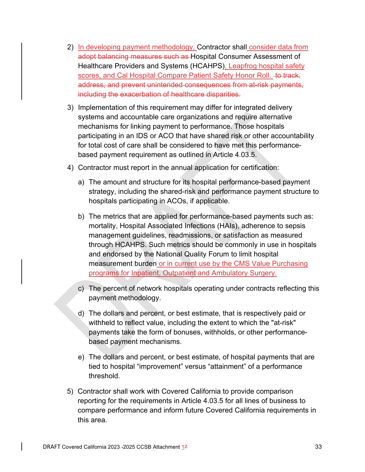- 2) In developing payment methodology, Contractor shall consider data from adopt balancing measures such as Hospital Consumer Assessment of Healthcare Providers and Systems (HCAHPS), Leapfrog hospital safety scores, and Cal Hospital Compare Patient Safety Honor Roll. + track, address, and prevent unintended consequences from at-risk payments, including the exacerbation of healthcare disparities.
- 3) Implementation of this requirement may differ for integrated delivery systems and accountable care organizations and require alternative mechanisms for linking payment to performance. Those hospitals participating in an IDS or ACO that have shared risk or other accountability for total cost of care shall be considered to have met this performancebased payment requirement as outlined in Article 4.03.5.
- 4) Contractor must report in the annual application for certification:
	- a) The amount and structure for its hospital performance-based payment strategy, including the shared-risk and performance payment structure to hospitals participating in ACOs, if applicable.
	- b) The metrics that are applied for performance-based payments such as: mortality, Hospital Associated Infections (HAIs), adherence to sepsis management guidelines, readmissions, or satisfaction as measured through HCAHPS. Such metrics should be commonly in use in hospitals and endorsed by the National Quality Forum to limit hospital measurement burden or in current use by the CMS Value Purchasing programs for Inpatient, Outpatient and Ambulatory Surgery.
	- c) The percent of network hospitals operating under contracts reflecting this payment methodology.
	- d) The dollars and percent, or best estimate, that is respectively paid or withheld to reflect value, including the extent to which the "at-risk" payments take the form of bonuses, withholds, or other performancebased payment mechanisms.
	- e) The dollars and percent, or best estimate, of hospital payments that are tied to hospital "improvement" versus "attainment" of a performance threshold.
- 5) Contractor shall work with Covered California to provide comparison reporting for the requirements in Article 4.03.5 for all lines of business to compare performance and inform future Covered California requirements in this area.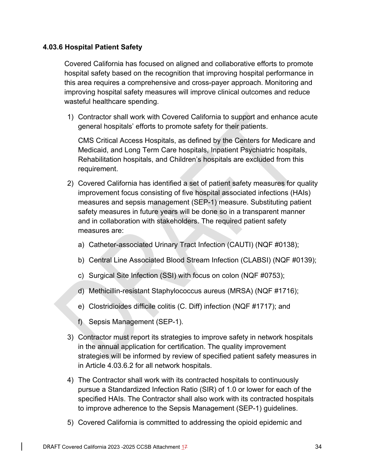### **4.03.6 Hospital Patient Safety**

Covered California has focused on aligned and collaborative efforts to promote hospital safety based on the recognition that improving hospital performance in this area requires a comprehensive and cross-payer approach. Monitoring and improving hospital safety measures will improve clinical outcomes and reduce wasteful healthcare spending.

1) Contractor shall work with Covered California to support and enhance acute general hospitals' efforts to promote safety for their patients.

CMS Critical Access Hospitals, as defined by the Centers for Medicare and Medicaid, and Long Term Care hospitals, Inpatient Psychiatric hospitals, Rehabilitation hospitals, and Children's hospitals are excluded from this requirement.

- 2) Covered California has identified a set of patient safety measures for quality improvement focus consisting of five hospital associated infections (HAIs) measures and sepsis management (SEP-1) measure. Substituting patient safety measures in future years will be done so in a transparent manner and in collaboration with stakeholders. The required patient safety measures are:
	- a) Catheter-associated Urinary Tract Infection (CAUTI) (NQF #0138);
	- b) Central Line Associated Blood Stream Infection (CLABSI) (NQF #0139);
	- c) Surgical Site Infection (SSI) with focus on colon (NQF #0753);
	- d) Methicillin-resistant Staphylococcus aureus (MRSA) (NQF #1716);
	- e) Clostridioides difficile colitis (C. Diff) infection (NQF #1717); and
	- f) Sepsis Management (SEP-1).
- 3) Contractor must report its strategies to improve safety in network hospitals in the annual application for certification. The quality improvement strategies will be informed by review of specified patient safety measures in in Article 4.03.6.2 for all network hospitals.
- 4) The Contractor shall work with its contracted hospitals to continuously pursue a Standardized Infection Ratio (SIR) of 1.0 or lower for each of the specified HAIs. The Contractor shall also work with its contracted hospitals to improve adherence to the Sepsis Management (SEP-1) guidelines.
- 5) Covered California is committed to addressing the opioid epidemic and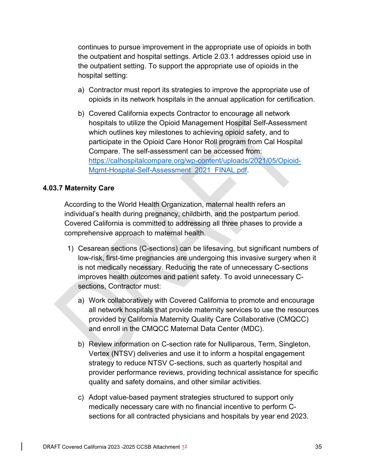continues to pursue improvement in the appropriate use of opioids in both the outpatient and hospital settings. Article 2.03.1 addresses opioid use in the outpatient setting. To support the appropriate use of opioids in the hospital setting:

- a) Contractor must report its strategies to improve the appropriate use of opioids in its network hospitals in the annual application for certification.
- b) Covered California expects Contractor to encourage all network hospitals to utilize the Opioid Management Hospital Self-Assessment which outlines key milestones to achieving opioid safety, and to participate in the Opioid Care Honor Roll program from Cal Hospital Compare. The self-assessment can be accessed from: https://calhospitalcompare.org/wp-content/uploads/2021/05/Opioid-Mgmt-Hospital-Self-Assessment\_2021\_FINAL.pdf.

### **4.03.7 Maternity Care**

According to the World Health Organization, maternal health refers an individual's health during pregnancy, childbirth, and the postpartum period. Covered California is committed to addressing all three phases to provide a comprehensive approach to maternal health.

- 1) Cesarean sections (C-sections) can be lifesaving, but significant numbers of low-risk, first-time pregnancies are undergoing this invasive surgery when it is not medically necessary. Reducing the rate of unnecessary C-sections improves health outcomes and patient safety. To avoid unnecessary Csections, Contractor must:
	- a) Work collaboratively with Covered California to promote and encourage all network hospitals that provide maternity services to use the resources provided by California Maternity Quality Care Collaborative (CMQCC) and enroll in the CMQCC Maternal Data Center (MDC).
	- b) Review information on C-section rate for Nulliparous, Term, Singleton, Vertex (NTSV) deliveries and use it to inform a hospital engagement strategy to reduce NTSV C-sections, such as quarterly hospital and provider performance reviews, providing technical assistance for specific quality and safety domains, and other similar activities.
	- c) Adopt value-based payment strategies structured to support only medically necessary care with no financial incentive to perform Csections for all contracted physicians and hospitals by year end 2023.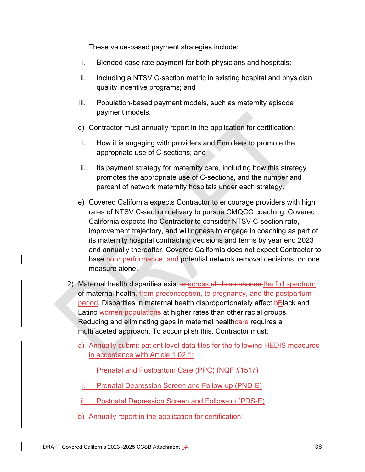These value-based payment strategies include:

- i. Blended case rate payment for both physicians and hospitals;
- ii. Including a NTSV C-section metric in existing hospital and physician quality incentive programs; and
- iii. Population-based payment models, such as maternity episode payment models.
- d) Contractor must annually report in the application for certification:
- i. How it is engaging with providers and Enrollees to promote the appropriate use of C-sections; and
- ii. Its payment strategy for maternity care, including how this strategy promotes the appropriate use of C-sections, and the number and percent of network maternity hospitals under each strategy.
- e) Covered California expects Contractor to encourage providers with high rates of NTSV C-section delivery to pursue CMQCC coaching. Covered California expects the Contractor to consider NTSV C-section rate, improvement trajectory, and willingness to engage in coaching as part of its maternity hospital contracting decisions and terms by year end 2023 and annually thereafter. Covered California does not expect Contractor to base poor performance, and potential network removal decisions, on one measure alone.
- 2) Maternal health disparities exist in across all three phases the full spectrum of maternal health, from preconception, to pregnancy, and the postpartum period. Disparities in maternal health disproportionately affect bBlack and Latino women populations at higher rates than other racial groups. Reducing and eliminating gaps in maternal healthcare requires a multifaceted approach. To accomplish this, Contractor must:
	- a) Annually submit patient level data files for the following HEDIS measures in accordance with Article 1.02.1:
		- Prenatal and Postpartum Care (PPC) (NQF #1517)
		- i. Prenatal Depression Screen and Follow-up (PND-E)
	- Postnatal Depression Screen and Follow-up (PDS-E)
	- b) Annually report in the application for certification: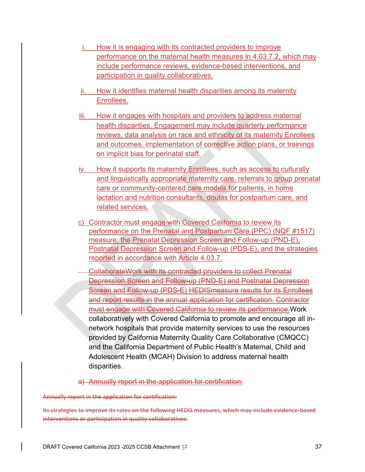- i. How it is engaging with its contracted providers to improve performance on the maternal health measures in 4.03.7.2, which may include performance reviews, evidence-based interventions, and participation in quality collaboratives.
- ii. How it identifies maternal health disparities among its maternity Enrollees.
- iii. How it engages with hospitals and providers to address maternal health disparities. Engagement may include quarterly performance reviews, data analysis on race and ethnicity of its maternity Enrollees and outcomes, implementation of corrective action plans, or trainings on implicit bias for perinatal staff.
- iv. How it supports its maternity Enrollees, such as access to culturally and linguistically appropriate maternity care, referrals to group prenatal care or community-centered care models for patients, in home lactation and nutrition consultants, doulas for postpartum care, and related services.
- c) Contractor must engage with Covered California to review its performance on the Prenatal and Postpartum Care (PPC) (NQF #1517) measure, the Prenatal Depression Screen and Follow-up (PND-E), Postnatal Depression Screen and Follow-up (PDS-E), and the strategies reported in accordance with Article 4.03.7.
- CollaborateWork with its contracted providers to collect Prenatal Depression Screen and Follow-up (PND-E) and Postnatal Depression Screen and Follow-up (PDS-E) HEDISmeasure results for its Enrollees and report results in the annual application for certification. Contractor must engage with Covered California to review its performance.Work collaboratively with Covered California to promote and encourage all innetwork hospitals that provide maternity services to use the resources provided by California Maternity Quality Care Collaborative (CMQCC) and the California Department of Public Health's Maternal, Child and Adolescent Health (MCAH) Division to address maternal health disparities.
- a) Annually report in the application for certification:

Annually report in the application for certification:

Its strategies to improve its rates on the following HEDIS measures, which may include evidence-based interventions or participation in quality collaboratives: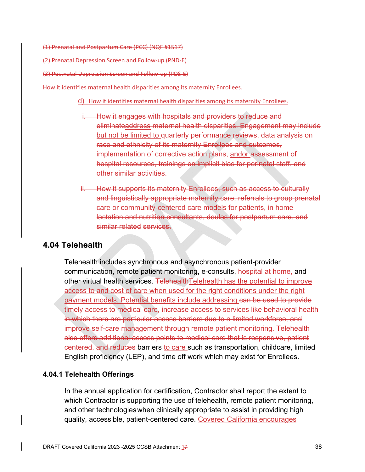(1) Prenatal and Postpartum Care (PCC) (NQF #1517)

(2) Prenatal Depression Screen and Follow‐up (PND‐E)

(3) Postnatal Depression Screen and Follow‐up (PDS‐E)

How it identifies maternal health disparities among its maternity Enrollees.

#### d) How it identifies maternal health disparities among its maternity Enrollees.

- i. How it engages with hospitals and providers to reduce and eliminateaddress maternal health disparities. Engagement may include but not be limited to quarterly performance reviews, data analysis on race and ethnicity of its maternity Enrollees and outcomes, implementation of corrective action plans, andor assessment of hospital resources, trainings on implicit bias for perinatal staff, and other similar activities.
- ii. How it supports its maternity Enrollees, such as access to culturally and linguistically appropriate maternity care, referrals to group prenatal care or community-centered care models for patients, in home lactation and nutrition consultants, doulas for postpartum care, and similar related services.

## **4.04 Telehealth**

Telehealth includes synchronous and asynchronous patient-provider communication, remote patient monitoring, e-consults, hospital at home, and other virtual health services. TelehealthTelehealth has the potential to improve access to and cost of care when used for the right conditions under the right payment models. Potential benefits include addressing can be used to provide timely access to medical care, increase access to services like behavioral health in which there are particular access barriers due to a limited workforce, and improve self-care management through remote patient monitoring. Telehealth also offers additional access points to medical care that is responsive, patient centered, and reduces barriers to care such as transportation, childcare, limited English proficiency (LEP), and time off work which may exist for Enrollees.

### **4.04.1 Telehealth Offerings**

In the annual application for certification, Contractor shall report the extent to which Contractor is supporting the use of telehealth, remote patient monitoring, and other technologies when clinically appropriate to assist in providing high quality, accessible, patient-centered care. Covered California encourages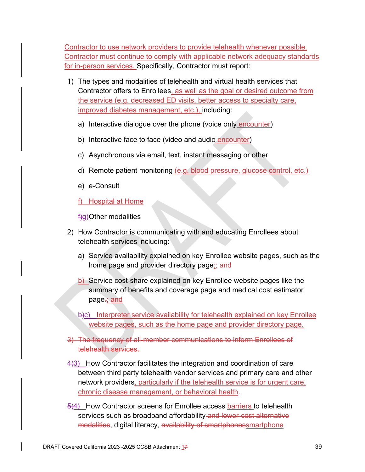Contractor to use network providers to provide telehealth whenever possible. Contractor must continue to comply with applicable network adequacy standards for in-person services. Specifically, Contractor must report:

- 1) The types and modalities of telehealth and virtual health services that Contractor offers to Enrollees, as well as the goal or desired outcome from the service (e.g. decreased ED visits, better access to specialty care, improved diabetes management, etc.), including:
	- a) Interactive dialogue over the phone (voice only encounter)
	- b) Interactive face to face (video and audio encounter)
	- c) Asynchronous via email, text, instant messaging or other
	- d) Remote patient monitoring (e.g. blood pressure, glucose control, etc.)
	- e) e-Consult
	- f) Hospital at Home

f)g) Other modalities

- 2) How Contractor is communicating with and educating Enrollees about telehealth services including:
	- a) Service availability explained on key Enrollee website pages, such as the home page and provider directory page; and
	- b) Service cost-share explained on key Enrollee website pages like the summary of benefits and coverage page and medical cost estimator page-; and
	- b)c) Interpreter service availability for telehealth explained on key Enrollee website pages, such as the home page and provider directory page.
- 3) The frequency of all-member communications to inform Enrollees of telehealth services.
- 4)3) How Contractor facilitates the integration and coordination of care between third party telehealth vendor services and primary care and other network providers, particularly if the telehealth service is for urgent care, chronic disease management, or behavioral health.
- $\frac{5}{4}$  How Contractor screens for Enrollee access barriers to telehealth services such as broadband affordability and lower-cost alternative modalities, digital literacy, availability of smartphonessmartphone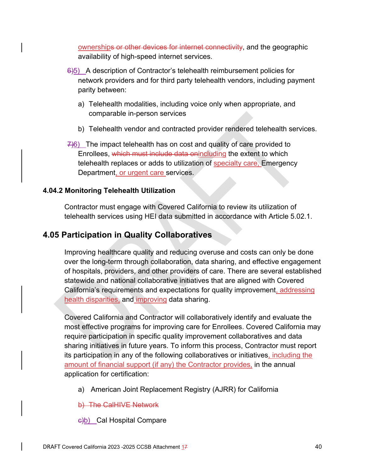ownerships or other devices for internet connectivity, and the geographic availability of high-speed internet services.

- 6)5) A description of Contractor's telehealth reimbursement policies for network providers and for third party telehealth vendors, including payment parity between:
	- a) Telehealth modalities, including voice only when appropriate, and comparable in-person services
	- b) Telehealth vendor and contracted provider rendered telehealth services.
- $7/6$ ) The impact telehealth has on cost and quality of care provided to Enrollees, which must include data onincluding the extent to which telehealth replaces or adds to utilization of **specialty care**, Emergency Department, or urgent care services.

### **4.04.2 Monitoring Telehealth Utilization**

Contractor must engage with Covered California to review its utilization of telehealth services using HEI data submitted in accordance with Article 5.02.1.

## **4.05 Participation in Quality Collaboratives**

Improving healthcare quality and reducing overuse and costs can only be done over the long-term through collaboration, data sharing, and effective engagement of hospitals, providers, and other providers of care. There are several established statewide and national collaborative initiatives that are aligned with Covered California's requirements and expectations for quality improvement, addressing health disparities, and improving data sharing.

Covered California and Contractor will collaboratively identify and evaluate the most effective programs for improving care for Enrollees. Covered California may require participation in specific quality improvement collaboratives and data sharing initiatives in future years. To inform this process, Contractor must report its participation in any of the following collaboratives or initiatives, including the amount of financial support (if any) the Contractor provides, in the annual application for certification:

a) American Joint Replacement Registry (AJRR) for California

b) The CalHIVE Network

 $\frac{c}{b}$ ) Cal Hospital Compare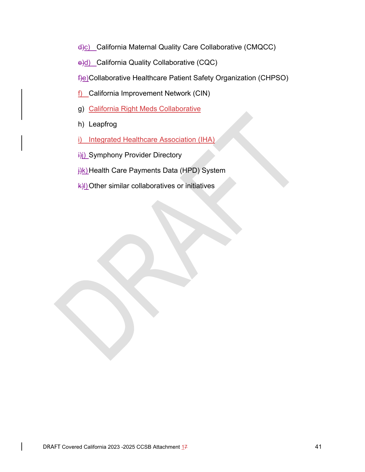d)c) California Maternal Quality Care Collaborative (CMQCC)

e)d) California Quality Collaborative (CQC)

f)e) Collaborative Healthcare Patient Safety Organization (CHPSO)

- f) California Improvement Network (CIN)
- g) California Right Meds Collaborative
- h) Leapfrog
- i) Integrated Healthcare Association (IHA)
- i)j) Symphony Provider Directory
- **i**)k) Health Care Payments Data (HPD) System
- k)l) Other similar collaboratives or initiatives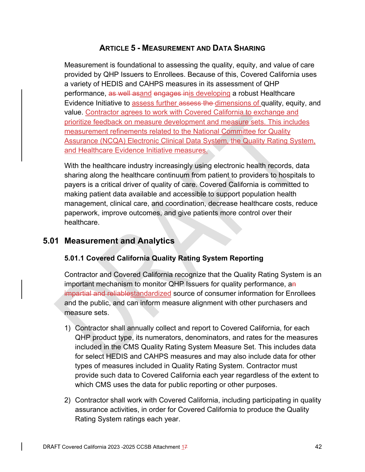# **ARTICLE 5 - MEASUREMENT AND DATA SHARING**

Measurement is foundational to assessing the quality, equity, and value of care provided by QHP Issuers to Enrollees. Because of this, Covered California uses a variety of HEDIS and CAHPS measures in its assessment of QHP performance, as well asand engages inis developing a robust Healthcare Evidence Initiative to assess further assess the dimensions of quality, equity, and value. Contractor agrees to work with Covered California to exchange and prioritize feedback on measure development and measure sets. This includes measurement refinements related to the National Committee for Quality Assurance (NCQA) Electronic Clinical Data System, the Quality Rating System, and Healthcare Evidence Initiative measures.

With the healthcare industry increasingly using electronic health records, data sharing along the healthcare continuum from patient to providers to hospitals to payers is a critical driver of quality of care. Covered California is committed to making patient data available and accessible to support population health management, clinical care, and coordination, decrease healthcare costs, reduce paperwork, improve outcomes, and give patients more control over their healthcare.

## **5.01 Measurement and Analytics**

## **5.01.1 Covered California Quality Rating System Reporting**

Contractor and Covered California recognize that the Quality Rating System is an important mechanism to monitor QHP Issuers for quality performance, an impartial and reliablestandardized source of consumer information for Enrollees and the public, and can inform measure alignment with other purchasers and measure sets.

- 1) Contractor shall annually collect and report to Covered California, for each QHP product type, its numerators, denominators, and rates for the measures included in the CMS Quality Rating System Measure Set. This includes data for select HEDIS and CAHPS measures and may also include data for other types of measures included in Quality Rating System. Contractor must provide such data to Covered California each year regardless of the extent to which CMS uses the data for public reporting or other purposes.
- 2) Contractor shall work with Covered California, including participating in quality assurance activities, in order for Covered California to produce the Quality Rating System ratings each year.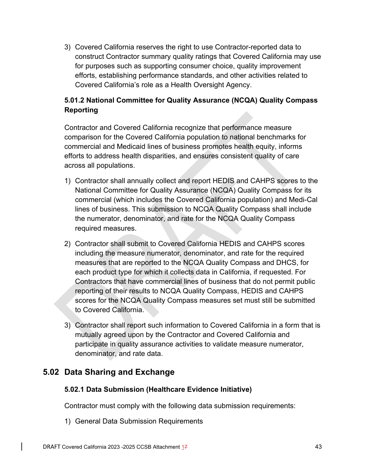3) Covered California reserves the right to use Contractor-reported data to construct Contractor summary quality ratings that Covered California may use for purposes such as supporting consumer choice, quality improvement efforts, establishing performance standards, and other activities related to Covered California's role as a Health Oversight Agency.

## **5.01.2 National Committee for Quality Assurance (NCQA) Quality Compass Reporting**

Contractor and Covered California recognize that performance measure comparison for the Covered California population to national benchmarks for commercial and Medicaid lines of business promotes health equity, informs efforts to address health disparities, and ensures consistent quality of care across all populations.

- 1) Contractor shall annually collect and report HEDIS and CAHPS scores to the National Committee for Quality Assurance (NCQA) Quality Compass for its commercial (which includes the Covered California population) and Medi-Cal lines of business. This submission to NCQA Quality Compass shall include the numerator, denominator, and rate for the NCQA Quality Compass required measures.
- 2) Contractor shall submit to Covered California HEDIS and CAHPS scores including the measure numerator, denominator, and rate for the required measures that are reported to the NCQA Quality Compass and DHCS, for each product type for which it collects data in California, if requested. For Contractors that have commercial lines of business that do not permit public reporting of their results to NCQA Quality Compass, HEDIS and CAHPS scores for the NCQA Quality Compass measures set must still be submitted to Covered California.
- 3) Contractor shall report such information to Covered California in a form that is mutually agreed upon by the Contractor and Covered California and participate in quality assurance activities to validate measure numerator, denominator, and rate data.

# **5.02 Data Sharing and Exchange**

## **5.02.1 Data Submission (Healthcare Evidence Initiative)**

Contractor must comply with the following data submission requirements:

1) General Data Submission Requirements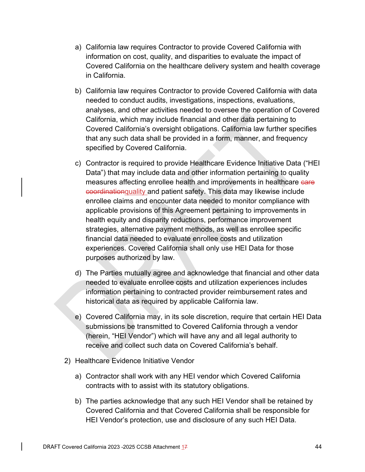- a) California law requires Contractor to provide Covered California with information on cost, quality, and disparities to evaluate the impact of Covered California on the healthcare delivery system and health coverage in California.
- b) California law requires Contractor to provide Covered California with data needed to conduct audits, investigations, inspections, evaluations, analyses, and other activities needed to oversee the operation of Covered California, which may include financial and other data pertaining to Covered California's oversight obligations. California law further specifies that any such data shall be provided in a form, manner, and frequency specified by Covered California.
- c) Contractor is required to provide Healthcare Evidence Initiative Data ("HEI Data") that may include data and other information pertaining to quality measures affecting enrollee health and improvements in healthcare eare coordinationquality and patient safety. This data may likewise include enrollee claims and encounter data needed to monitor compliance with applicable provisions of this Agreement pertaining to improvements in health equity and disparity reductions, performance improvement strategies, alternative payment methods, as well as enrollee specific financial data needed to evaluate enrollee costs and utilization experiences. Covered California shall only use HEI Data for those purposes authorized by law.
- d) The Parties mutually agree and acknowledge that financial and other data needed to evaluate enrollee costs and utilization experiences includes information pertaining to contracted provider reimbursement rates and historical data as required by applicable California law.
- e) Covered California may, in its sole discretion, require that certain HEI Data submissions be transmitted to Covered California through a vendor (herein, "HEI Vendor") which will have any and all legal authority to receive and collect such data on Covered California's behalf.
- 2) Healthcare Evidence Initiative Vendor
	- a) Contractor shall work with any HEI vendor which Covered California contracts with to assist with its statutory obligations.
	- b) The parties acknowledge that any such HEI Vendor shall be retained by Covered California and that Covered California shall be responsible for HEI Vendor's protection, use and disclosure of any such HEI Data.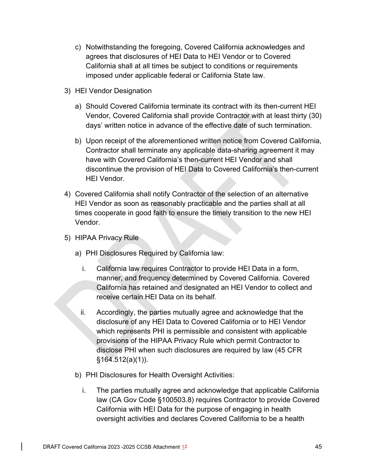- c) Notwithstanding the foregoing, Covered California acknowledges and agrees that disclosures of HEI Data to HEI Vendor or to Covered California shall at all times be subject to conditions or requirements imposed under applicable federal or California State law.
- 3) HEI Vendor Designation
	- a) Should Covered California terminate its contract with its then-current HEI Vendor, Covered California shall provide Contractor with at least thirty (30) days' written notice in advance of the effective date of such termination.
	- b) Upon receipt of the aforementioned written notice from Covered California, Contractor shall terminate any applicable data-sharing agreement it may have with Covered California's then-current HEI Vendor and shall discontinue the provision of HEI Data to Covered California's then-current HEI Vendor.
- 4) Covered California shall notify Contractor of the selection of an alternative HEI Vendor as soon as reasonably practicable and the parties shall at all times cooperate in good faith to ensure the timely transition to the new HEI Vendor.
- 5) HIPAA Privacy Rule
	- a) PHI Disclosures Required by California law:
		- i. California law requires Contractor to provide HEI Data in a form, manner, and frequency determined by Covered California. Covered California has retained and designated an HEI Vendor to collect and receive certain HEI Data on its behalf.
		- ii. Accordingly, the parties mutually agree and acknowledge that the disclosure of any HEI Data to Covered California or to HEI Vendor which represents PHI is permissible and consistent with applicable provisions of the HIPAA Privacy Rule which permit Contractor to disclose PHI when such disclosures are required by law (45 CFR §164.512(a)(1)).
	- b) PHI Disclosures for Health Oversight Activities:
		- i. The parties mutually agree and acknowledge that applicable California law (CA Gov Code §100503.8) requires Contractor to provide Covered California with HEI Data for the purpose of engaging in health oversight activities and declares Covered California to be a health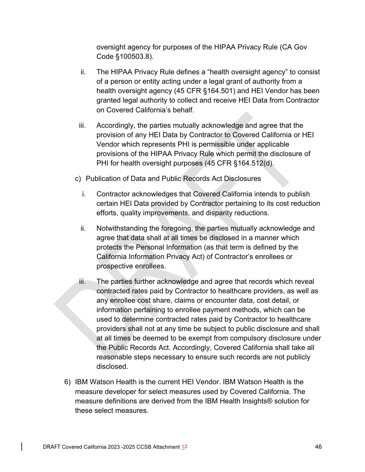oversight agency for purposes of the HIPAA Privacy Rule (CA Gov Code §100503.8).

- ii. The HIPAA Privacy Rule defines a "health oversight agency" to consist of a person or entity acting under a legal grant of authority from a health oversight agency (45 CFR §164.501) and HEI Vendor has been granted legal authority to collect and receive HEI Data from Contractor on Covered California's behalf.
- iii. Accordingly, the parties mutually acknowledge and agree that the provision of any HEI Data by Contractor to Covered California or HEI Vendor which represents PHI is permissible under applicable provisions of the HIPAA Privacy Rule which permit the disclosure of PHI for health oversight purposes (45 CFR §164.512(d).
- c) Publication of Data and Public Records Act Disclosures
	- i. Contractor acknowledges that Covered California intends to publish certain HEI Data provided by Contractor pertaining to its cost reduction efforts, quality improvements, and disparity reductions.
	- ii. Notwithstanding the foregoing, the parties mutually acknowledge and agree that data shall at all times be disclosed in a manner which protects the Personal Information (as that term is defined by the California Information Privacy Act) of Contractor's enrollees or prospective enrollees.
- iii. The parties further acknowledge and agree that records which reveal contracted rates paid by Contractor to healthcare providers, as well as any enrollee cost share, claims or encounter data, cost detail, or information pertaining to enrollee payment methods, which can be used to determine contracted rates paid by Contractor to healthcare providers shall not at any time be subject to public disclosure and shall at all times be deemed to be exempt from compulsory disclosure under the Public Records Act. Accordingly, Covered California shall take all reasonable steps necessary to ensure such records are not publicly disclosed.
- 6) IBM Watson Health is the current HEI Vendor. IBM Watson Health is the measure developer for select measures used by Covered California. The measure definitions are derived from the IBM Health Insights® solution for these select measures.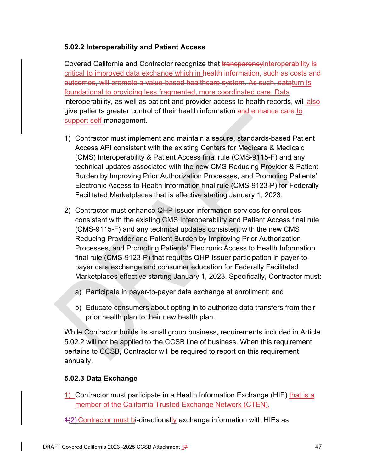### **5.02.2 Interoperability and Patient Access**

Covered California and Contractor recognize that transparency interoperability is critical to improved data exchange which in health information, such as costs and outcomes, will promote a value-based healthcare system. As such, dataturn is foundational to providing less fragmented, more coordinated care. Data interoperability, as well as patient and provider access to health records, will also give patients greater control of their health information and enhance care to support self-management.

- 1) Contractor must implement and maintain a secure, standards-based Patient Access API consistent with the existing Centers for Medicare & Medicaid (CMS) Interoperability & Patient Access final rule (CMS-9115-F) and any technical updates associated with the new CMS Reducing Provider & Patient Burden by Improving Prior Authorization Processes, and Promoting Patients' Electronic Access to Health Information final rule (CMS-9123-P) for Federally Facilitated Marketplaces that is effective starting January 1, 2023.
- 2) Contractor must enhance QHP Issuer information services for enrollees consistent with the existing CMS Interoperability and Patient Access final rule (CMS-9115-F) and any technical updates consistent with the new CMS Reducing Provider and Patient Burden by Improving Prior Authorization Processes, and Promoting Patients' Electronic Access to Health Information final rule (CMS-9123-P) that requires QHP Issuer participation in payer-topayer data exchange and consumer education for Federally Facilitated Marketplaces effective starting January 1, 2023. Specifically, Contractor must:
	- a) Participate in payer-to-payer data exchange at enrollment; and
	- b) Educate consumers about opting in to authorize data transfers from their prior health plan to their new health plan.

While Contractor builds its small group business, requirements included in Article 5.02.2 will not be applied to the CCSB line of business. When this requirement pertains to CCSB, Contractor will be required to report on this requirement annually.

## **5.02.3 Data Exchange**

- 1) Contractor must participate in a Health Information Exchange (HIE) that is a member of the California Trusted Exchange Network (CTEN).
- 1)2) Contractor must bi-directionally exchange information with HIEs as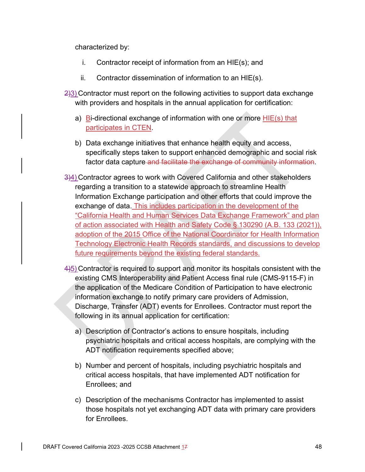characterized by:

- i. Contractor receipt of information from an HIE(s); and
- ii. Contractor dissemination of information to an HIE(s).
- $2/3$ ) Contractor must report on the following activities to support data exchange with providers and hospitals in the annual application for certification:
	- a) Bi-directional exchange of information with one or more  $HIE(s)$  that participates in CTEN.
	- b) Data exchange initiatives that enhance health equity and access, specifically steps taken to support enhanced demographic and social risk factor data capture and facilitate the exchange of community information.
- 3)4) Contractor agrees to work with Covered California and other stakeholders regarding a transition to a statewide approach to streamline Health Information Exchange participation and other efforts that could improve the exchange of data. This includes participation in the development of the "California Health and Human Services Data Exchange Framework" and plan of action associated with Health and Safety Code § 130290 (A.B. 133 (2021)), adoption of the 2015 Office of the National Coordinator for Health Information Technology Electronic Health Records standards, and discussions to develop future requirements beyond the existing federal standards.
- 4)5) Contractor is required to support and monitor its hospitals consistent with the existing CMS Interoperability and Patient Access final rule (CMS-9115-F) in the application of the Medicare Condition of Participation to have electronic information exchange to notify primary care providers of Admission, Discharge, Transfer (ADT) events for Enrollees. Contractor must report the following in its annual application for certification:
	- a) Description of Contractor's actions to ensure hospitals, including psychiatric hospitals and critical access hospitals, are complying with the ADT notification requirements specified above;
	- b) Number and percent of hospitals, including psychiatric hospitals and critical access hospitals, that have implemented ADT notification for Enrollees; and
	- c) Description of the mechanisms Contractor has implemented to assist those hospitals not yet exchanging ADT data with primary care providers for Enrollees.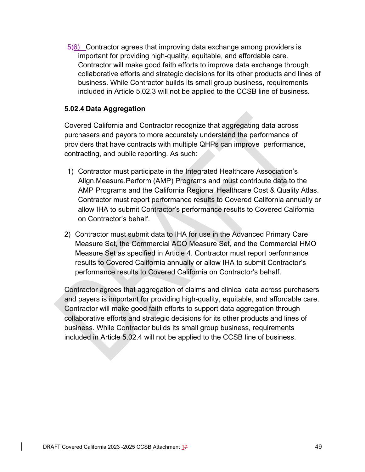5)6) Contractor agrees that improving data exchange among providers is important for providing high-quality, equitable, and affordable care. Contractor will make good faith efforts to improve data exchange through collaborative efforts and strategic decisions for its other products and lines of business. While Contractor builds its small group business, requirements included in Article 5.02.3 will not be applied to the CCSB line of business.

### **5.02.4 Data Aggregation**

Covered California and Contractor recognize that aggregating data across purchasers and payors to more accurately understand the performance of providers that have contracts with multiple QHPs can improve performance, contracting, and public reporting. As such:

- 1) Contractor must participate in the Integrated Healthcare Association's Align.Measure.Perform (AMP) Programs and must contribute data to the AMP Programs and the California Regional Healthcare Cost & Quality Atlas. Contractor must report performance results to Covered California annually or allow IHA to submit Contractor's performance results to Covered California on Contractor's behalf.
- 2) Contractor must submit data to IHA for use in the Advanced Primary Care Measure Set, the Commercial ACO Measure Set, and the Commercial HMO Measure Set as specified in Article 4. Contractor must report performance results to Covered California annually or allow IHA to submit Contractor's performance results to Covered California on Contractor's behalf.

Contractor agrees that aggregation of claims and clinical data across purchasers and payers is important for providing high-quality, equitable, and affordable care. Contractor will make good faith efforts to support data aggregation through collaborative efforts and strategic decisions for its other products and lines of business. While Contractor builds its small group business, requirements included in Article 5.02.4 will not be applied to the CCSB line of business.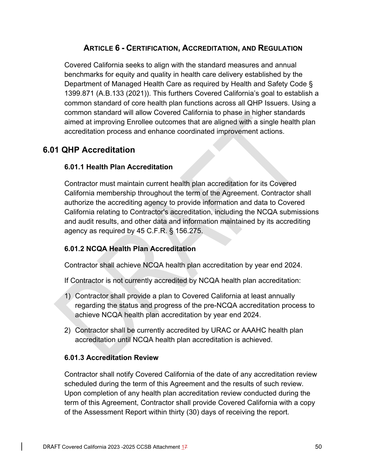# **ARTICLE 6 - CERTIFICATION, ACCREDITATION, AND REGULATION**

Covered California seeks to align with the standard measures and annual benchmarks for equity and quality in health care delivery established by the Department of Managed Health Care as required by Health and Safety Code § 1399.871 (A.B.133 (2021)). This furthers Covered California's goal to establish a common standard of core health plan functions across all QHP Issuers. Using a common standard will allow Covered California to phase in higher standards aimed at improving Enrollee outcomes that are aligned with a single health plan accreditation process and enhance coordinated improvement actions.

# **6.01 QHP Accreditation**

## **6.01.1 Health Plan Accreditation**

Contractor must maintain current health plan accreditation for its Covered California membership throughout the term of the Agreement. Contractor shall authorize the accrediting agency to provide information and data to Covered California relating to Contractor's accreditation, including the NCQA submissions and audit results, and other data and information maintained by its accrediting agency as required by 45 C.F.R. § 156.275.

## **6.01.2 NCQA Health Plan Accreditation**

Contractor shall achieve NCQA health plan accreditation by year end 2024.

If Contractor is not currently accredited by NCQA health plan accreditation:

- 1) Contractor shall provide a plan to Covered California at least annually regarding the status and progress of the pre-NCQA accreditation process to achieve NCQA health plan accreditation by year end 2024.
- 2) Contractor shall be currently accredited by URAC or AAAHC health plan accreditation until NCQA health plan accreditation is achieved.

## **6.01.3 Accreditation Review**

Contractor shall notify Covered California of the date of any accreditation review scheduled during the term of this Agreement and the results of such review. Upon completion of any health plan accreditation review conducted during the term of this Agreement, Contractor shall provide Covered California with a copy of the Assessment Report within thirty (30) days of receiving the report.